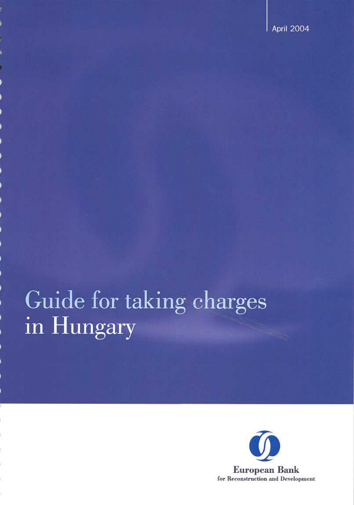# Guide for taking charges in Hungary

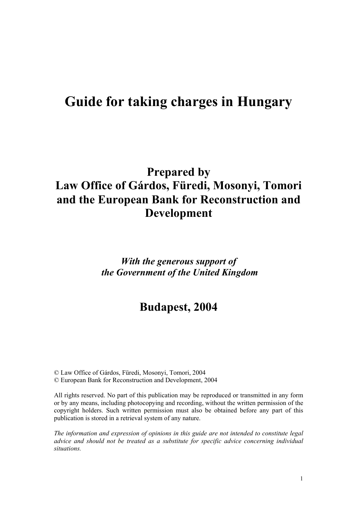# **Guide for taking charges in Hungary**

# **Prepared by Law Office of Gárdos, Füredi, Mosonyi, Tomori and the European Bank for Reconstruction and Development**

# *With the generous support of the Government of the United Kingdom*

# **Budapest, 2004**

© Law Office of Gárdos, Füredi, Mosonyi, Tomori, 2004 © European Bank for Reconstruction and Development, 2004

All rights reserved. No part of this publication may be reproduced or transmitted in any form or by any means, including photocopying and recording, without the written permission of the copyright holders. Such written permission must also be obtained before any part of this publication is stored in a retrieval system of any nature.

*The information and expression of opinions in this guide are not intended to constitute legal advice and should not be treated as a substitute for specific advice concerning individual situations.*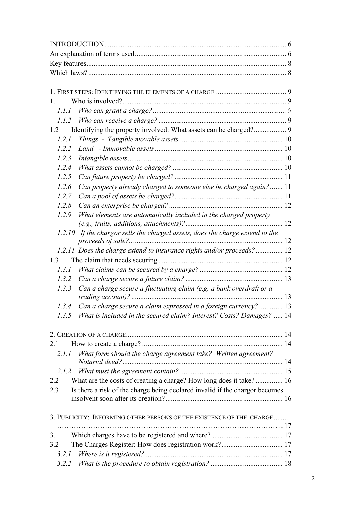| 11                                                                                 |  |  |
|------------------------------------------------------------------------------------|--|--|
| 1.1.1                                                                              |  |  |
| 1.1.2                                                                              |  |  |
| 1.2                                                                                |  |  |
| 1.2.1                                                                              |  |  |
| 1.2.2                                                                              |  |  |
| 1.2.3                                                                              |  |  |
| 1.2.4                                                                              |  |  |
| 1.2.5                                                                              |  |  |
| Can property already charged to someone else be charged again? 11<br>1.2.6         |  |  |
| 1.2.7                                                                              |  |  |
| 1.2.8                                                                              |  |  |
| What elements are automatically included in the charged property<br>1.2.9          |  |  |
| $(e.g., fruits, additions, attachments)?$                                          |  |  |
| 1.2.10 If the chargor sells the charged assets, does the charge extend to the      |  |  |
| 1.2.11 Does the charge extend to insurance rights and/or proceeds? 12              |  |  |
| 1.3                                                                                |  |  |
| 1.3.1                                                                              |  |  |
| 1.3.2                                                                              |  |  |
| Can a charge secure a fluctuating claim (e.g. a bank overdraft or a<br>1.3.3       |  |  |
|                                                                                    |  |  |
| Can a charge secure a claim expressed in a foreign currency?  13<br>1.3.4          |  |  |
| What is included in the secured claim? Interest? Costs? Damages?  14<br>1.3.5      |  |  |
|                                                                                    |  |  |
| 2.1                                                                                |  |  |
| What form should the charge agreement take? Written agreement?<br>2.1.1            |  |  |
| 2.1.2                                                                              |  |  |
| What are the costs of creating a charge? How long does it take?  16<br>2.2         |  |  |
| Is there a risk of the charge being declared invalid if the chargor becomes<br>2.3 |  |  |
|                                                                                    |  |  |
| 3. PUBLICITY: INFORMING OTHER PERSONS OF THE EXISTENCE OF THE CHARGE               |  |  |
|                                                                                    |  |  |
| 3.1                                                                                |  |  |
| 3.2                                                                                |  |  |
| 3.2.1                                                                              |  |  |
| 3.2.2                                                                              |  |  |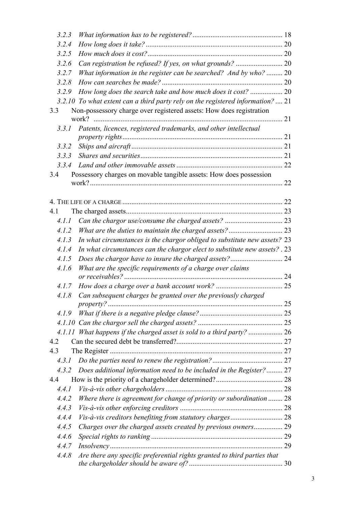| 3.2.3 |                                                                                 |    |  |
|-------|---------------------------------------------------------------------------------|----|--|
| 3.2.4 |                                                                                 |    |  |
| 3.2.5 |                                                                                 |    |  |
| 3.2.6 |                                                                                 |    |  |
| 3.2.7 | What information in the register can be searched? And by who?  20               |    |  |
| 3.2.8 |                                                                                 |    |  |
| 3.2.9 |                                                                                 |    |  |
|       | 3.2.10 To what extent can a third party rely on the registered information?  21 |    |  |
| 3.3   | Non-possessory charge over registered assets: How does registration             |    |  |
|       |                                                                                 | 21 |  |
| 3.3.1 | Patents, licences, registered trademarks, and other intellectual                |    |  |
|       |                                                                                 |    |  |
| 3.3.2 |                                                                                 |    |  |
| 3.3.3 |                                                                                 |    |  |
| 3.3.4 |                                                                                 |    |  |
| 3.4   | Possessory charges on movable tangible assets: How does possession              |    |  |
|       |                                                                                 | 22 |  |
|       |                                                                                 |    |  |
|       |                                                                                 |    |  |
| 4.1   |                                                                                 |    |  |
| 4.1.1 |                                                                                 |    |  |
| 4.1.2 |                                                                                 |    |  |
| 4.1.3 | In what circumstances is the chargor obliged to substitute new assets? 23       |    |  |
| 4.1.4 | In what circumstances can the chargor elect to substitute new assets? . 23      |    |  |
| 4.1.5 |                                                                                 |    |  |
| 4.1.6 | What are the specific requirements of a charge over claims                      |    |  |
| 4.1.7 |                                                                                 |    |  |
| 4.1.8 | Can subsequent charges be granted over the previously charged                   |    |  |
|       |                                                                                 |    |  |
| 4.1.9 |                                                                                 |    |  |
|       |                                                                                 |    |  |
|       | 4.1.11 What happens if the charged asset is sold to a third party?              |    |  |
| 4.2   |                                                                                 |    |  |
| 4.3   |                                                                                 |    |  |
| 4.3.1 |                                                                                 |    |  |
| 4.3.2 | Does additional information need to be included in the Register? 27             |    |  |
| 4.4   |                                                                                 |    |  |
| 4.4.1 |                                                                                 |    |  |
| 4.4.2 | Where there is agreement for change of priority or subordination  28            |    |  |
| 4.4.3 |                                                                                 |    |  |
| 4.4.4 |                                                                                 |    |  |
| 4.4.5 |                                                                                 |    |  |
| 4.4.6 |                                                                                 |    |  |
| 4.4.7 |                                                                                 |    |  |
| 4.4.8 | Are there any specific preferential rights granted to third parties that        |    |  |
|       |                                                                                 |    |  |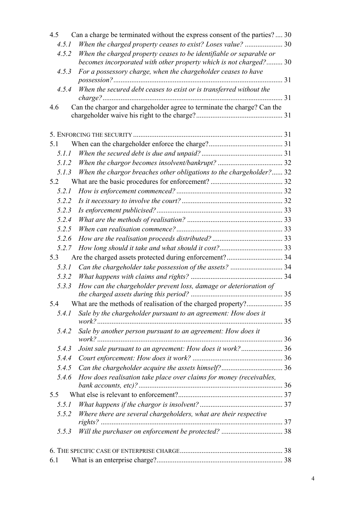| 4.5   | Can a charge be terminated without the express consent of the parties?  30                                                               |  |
|-------|------------------------------------------------------------------------------------------------------------------------------------------|--|
| 4.5.1 | When the charged property ceases to exist? Loses value?  30                                                                              |  |
| 4.5.2 | When the charged property ceases to be identifiable or separable or<br>becomes incorporated with other property which is not charged? 30 |  |
| 4.5.3 | For a possessory charge, when the chargeholder ceases to have                                                                            |  |
|       |                                                                                                                                          |  |
| 4.5.4 | When the secured debt ceases to exist or is transferred without the                                                                      |  |
| 4.6   | Can the chargor and chargeholder agree to terminate the charge? Can the                                                                  |  |
|       |                                                                                                                                          |  |
|       |                                                                                                                                          |  |
|       |                                                                                                                                          |  |
| 5.1   |                                                                                                                                          |  |
| 5.1.1 |                                                                                                                                          |  |
| 5.1.2 |                                                                                                                                          |  |
| 5.1.3 | When the chargor breaches other obligations to the chargeholder? 32                                                                      |  |
| 5.2   |                                                                                                                                          |  |
| 5.2.1 |                                                                                                                                          |  |
| 5.2.2 |                                                                                                                                          |  |
| 5.2.3 |                                                                                                                                          |  |
| 5.2.4 |                                                                                                                                          |  |
| 5.2.5 |                                                                                                                                          |  |
| 5.2.6 |                                                                                                                                          |  |
| 5.2.7 |                                                                                                                                          |  |
| 5.3   |                                                                                                                                          |  |
| 5.3.1 |                                                                                                                                          |  |
| 5.3.2 |                                                                                                                                          |  |
| 5.3.3 | How can the chargeholder prevent loss, damage or deterioration of                                                                        |  |
| 5.4   |                                                                                                                                          |  |
| 5.4.1 | Sale by the chargeholder pursuant to an agreement: How does it                                                                           |  |
|       |                                                                                                                                          |  |
| 5.4.2 | Sale by another person pursuant to an agreement: How does it                                                                             |  |
| 5.4.3 | Joint sale pursuant to an agreement: How does it work? 36                                                                                |  |
| 5.4.4 |                                                                                                                                          |  |
| 5.4.5 |                                                                                                                                          |  |
| 5.4.6 | How does realisation take place over claims for money (receivables,                                                                      |  |
|       |                                                                                                                                          |  |
| 5.5   |                                                                                                                                          |  |
| 5.5.1 |                                                                                                                                          |  |
| 5.5.2 | Where there are several chargeholders, what are their respective                                                                         |  |
|       |                                                                                                                                          |  |
| 5.5.3 |                                                                                                                                          |  |
|       |                                                                                                                                          |  |
| 6.1   |                                                                                                                                          |  |
|       |                                                                                                                                          |  |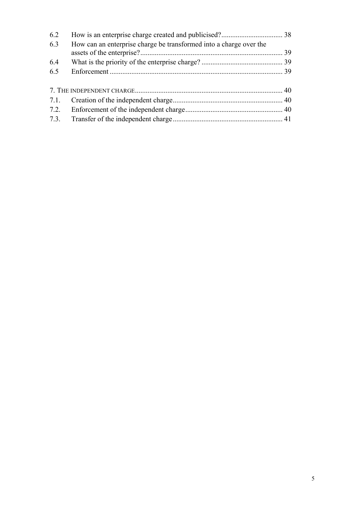| 6.2  |                                                                    |  |
|------|--------------------------------------------------------------------|--|
| 6.3  | How can an enterprise charge be transformed into a charge over the |  |
| 6.4  |                                                                    |  |
| 6.5  |                                                                    |  |
|      |                                                                    |  |
|      |                                                                    |  |
|      |                                                                    |  |
| 7.2. |                                                                    |  |
| 7.3. |                                                                    |  |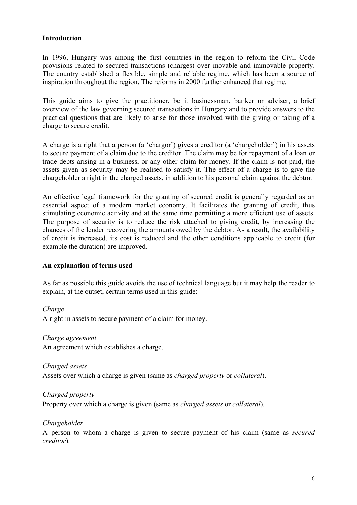#### <span id="page-6-0"></span>**Introduction**

In 1996, Hungary was among the first countries in the region to reform the Civil Code provisions related to secured transactions (charges) over movable and immovable property. The country established a flexible, simple and reliable regime, which has been a source of inspiration throughout the region. The reforms in 2000 further enhanced that regime.

This guide aims to give the practitioner, be it businessman, banker or adviser, a brief overview of the law governing secured transactions in Hungary and to provide answers to the practical questions that are likely to arise for those involved with the giving or taking of a charge to secure credit.

A charge is a right that a person (a 'chargor') gives a creditor (a 'chargeholder') in his assets to secure payment of a claim due to the creditor. The claim may be for repayment of a loan or trade debts arising in a business, or any other claim for money. If the claim is not paid, the assets given as security may be realised to satisfy it. The effect of a charge is to give the chargeholder a right in the charged assets, in addition to his personal claim against the debtor.

An effective legal framework for the granting of secured credit is generally regarded as an essential aspect of a modern market economy. It facilitates the granting of credit, thus stimulating economic activity and at the same time permitting a more efficient use of assets. The purpose of security is to reduce the risk attached to giving credit, by increasing the chances of the lender recovering the amounts owed by the debtor. As a result, the availability of credit is increased, its cost is reduced and the other conditions applicable to credit (for example the duration) are improved.

#### **An explanation of terms used**

As far as possible this guide avoids the use of technical language but it may help the reader to explain, at the outset, certain terms used in this guide:

*Charge*  A right in assets to secure payment of a claim for money.

*Charge agreement* An agreement which establishes a charge.

*Charged assets*  Assets over which a charge is given (same as *charged property* or *collateral*).

*Charged property*  Property over which a charge is given (same as *charged assets* or *collateral*).

# *Chargeholder*

A person to whom a charge is given to secure payment of his claim (same as *secured creditor*).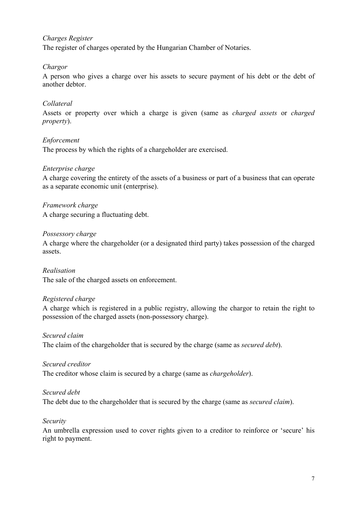#### *Charges Register*

The register of charges operated by the Hungarian Chamber of Notaries.

#### *Chargor*

A person who gives a charge over his assets to secure payment of his debt or the debt of another debtor.

#### *Collateral*

Assets or property over which a charge is given (same as *charged assets* or *charged property*).

#### *Enforcement*

The process by which the rights of a chargeholder are exercised.

#### *Enterprise charge*

A charge covering the entirety of the assets of a business or part of a business that can operate as a separate economic unit (enterprise).

*Framework charge*

A charge securing a fluctuating debt.

#### *Possessory charge*

A charge where the chargeholder (or a designated third party) takes possession of the charged assets.

*Realisation*  The sale of the charged assets on enforcement.

#### *Registered charge*

A charge which is registered in a public registry, allowing the chargor to retain the right to possession of the charged assets (non-possessory charge).

#### *Secured claim*

The claim of the chargeholder that is secured by the charge (same as *secured debt*).

#### *Secured creditor*

The creditor whose claim is secured by a charge (same as *chargeholder*).

#### *Secured debt*

The debt due to the chargeholder that is secured by the charge (same as *secured claim*).

#### *Security*

An umbrella expression used to cover rights given to a creditor to reinforce or 'secure' his right to payment.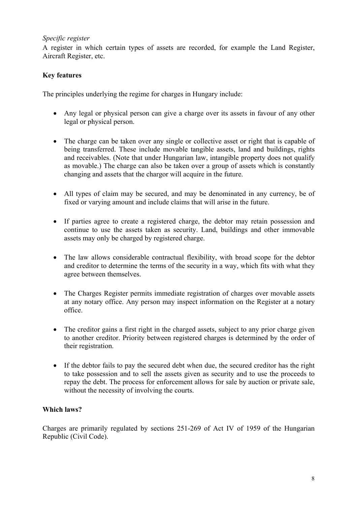# <span id="page-8-0"></span>*Specific register*

A register in which certain types of assets are recorded, for example the Land Register, Aircraft Register, etc.

# **Key features**

The principles underlying the regime for charges in Hungary include:

- Any legal or physical person can give a charge over its assets in favour of any other legal or physical person.
- The charge can be taken over any single or collective asset or right that is capable of being transferred. These include movable tangible assets, land and buildings, rights and receivables. (Note that under Hungarian law, intangible property does not qualify as movable.) The charge can also be taken over a group of assets which is constantly changing and assets that the chargor will acquire in the future.
- All types of claim may be secured, and may be denominated in any currency, be of fixed or varying amount and include claims that will arise in the future.
- If parties agree to create a registered charge, the debtor may retain possession and continue to use the assets taken as security. Land, buildings and other immovable assets may only be charged by registered charge.
- The law allows considerable contractual flexibility, with broad scope for the debtor and creditor to determine the terms of the security in a way, which fits with what they agree between themselves.
- The Charges Register permits immediate registration of charges over movable assets at any notary office. Any person may inspect information on the Register at a notary office.
- The creditor gains a first right in the charged assets, subject to any prior charge given to another creditor. Priority between registered charges is determined by the order of their registration.
- If the debtor fails to pay the secured debt when due, the secured creditor has the right to take possession and to sell the assets given as security and to use the proceeds to repay the debt. The process for enforcement allows for sale by auction or private sale, without the necessity of involving the courts.

# **Which laws?**

Charges are primarily regulated by sections 251-269 of Act IV of 1959 of the Hungarian Republic (Civil Code).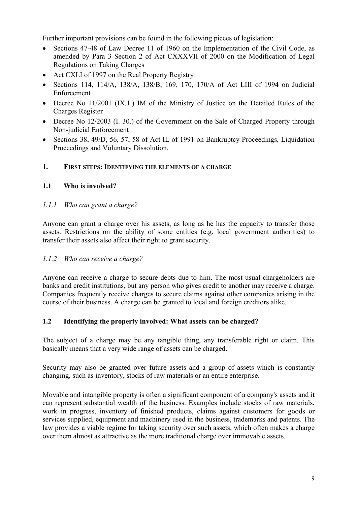<span id="page-9-0"></span>Further important provisions can be found in the following pieces of legislation:

- Sections 47-48 of Law Decree 11 of 1960 on the Implementation of the Civil Code, as amended by Para 3 Section 2 of Act CXXXVII of 2000 on the Modification of Legal Regulations on Taking Charges •
- Act CXLI of 1997 on the Real Property Registry
- Sections 114, 114/A, 138/A, 138/B, 169, 170, 170/A of Act LIII of 1994 on Judicial Enforcement
- Decree No 11/2001 (IX.1.) IM of the Ministry of Justice on the Detailed Rules of the Charges Register
- Decree No 12/2003 (I. 30.) of the Government on the Sale of Charged Property through Non-judicial Enforcement
- Sections 38, 49/D, 56, 57, 58 of Act IL of 1991 on Bankruptcy Proceedings, Liquidation Proceedings and Voluntary Dissolution.

# **1. FIRST STEPS: IDENTIFYING THE ELEMENTS OF A CHARGE**

# **1.1 Who is involved?**

# *1.1.1 Who can grant a charge?*

Anyone can grant a charge over his assets, as long as he has the capacity to transfer those assets. Restrictions on the ability of some entities (e.g. local government authorities) to transfer their assets also affect their right to grant security.

# *1.1.2 Who can receive a charge?*

Anyone can receive a charge to secure debts due to him. The most usual chargeholders are banks and credit institutions, but any person who gives credit to another may receive a charge. Companies frequently receive charges to secure claims against other companies arising in the course of their business. A charge can be granted to local and foreign creditors alike.

# **1.2 Identifying the property involved: What assets can be charged?**

The subject of a charge may be any tangible thing, any transferable right or claim. This basically means that a very wide range of assets can be charged.

Security may also be granted over future assets and a group of assets which is constantly changing, such as inventory, stocks of raw materials or an entire enterprise.

Movable and intangible property is often a significant component of a company's assets and it can represent substantial wealth of the business. Examples include stocks of raw materials, work in progress, inventory of finished products, claims against customers for goods or services supplied, equipment and machinery used in the business, trademarks and patents. The law provides a viable regime for taking security over such assets, which often makes a charge over them almost as attractive as the more traditional charge over immovable assets.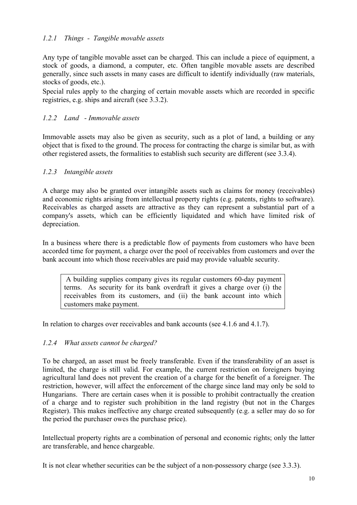# <span id="page-10-0"></span>*1.2.1 Things - Tangible movable assets*

Any type of tangible movable asset can be charged. This can include a piece of equipment, a stock of goods, a diamond, a computer, etc. Often tangible movable assets are described generally, since such assets in many cases are difficult to identify individually (raw materials, stocks of goods, etc.).

Special rules apply to the charging of certain movable assets which are recorded in specific registries, e.g. ships and aircraft (see 3.3.2).

# *1.2.2 Land - Immovable assets*

Immovable assets may also be given as security, such as a plot of land, a building or any object that is fixed to the ground. The process for contracting the charge is similar but, as with other registered assets, the formalities to establish such security are different (see 3.3.4).

# *1.2.3 Intangible assets*

A charge may also be granted over intangible assets such as claims for money (receivables) and economic rights arising from intellectual property rights (e.g. patents, rights to software). Receivables as charged assets are attractive as they can represent a substantial part of a company's assets, which can be efficiently liquidated and which have limited risk of depreciation.

In a business where there is a predictable flow of payments from customers who have been accorded time for payment, a charge over the pool of receivables from customers and over the bank account into which those receivables are paid may provide valuable security.

A building supplies company gives its regular customers 60-day payment terms. As security for its bank overdraft it gives a charge over (i) the receivables from its customers, and (ii) the bank account into which customers make payment.

In relation to charges over receivables and bank accounts (see 4.1.6 and 4.1.7).

# *1.2.4 What assets cannot be charged?*

To be charged, an asset must be freely transferable. Even if the transferability of an asset is limited, the charge is still valid. For example, the current restriction on foreigners buying agricultural land does not prevent the creation of a charge for the benefit of a foreigner. The restriction, however, will affect the enforcement of the charge since land may only be sold to Hungarians. There are certain cases when it is possible to prohibit contractually the creation of a charge and to register such prohibition in the land registry (but not in the Charges Register). This makes ineffective any charge created subsequently (e.g. a seller may do so for the period the purchaser owes the purchase price).

Intellectual property rights are a combination of personal and economic rights; only the latter are transferable, and hence chargeable.

It is not clear whether securities can be the subject of a non-possessory charge (see 3.3.3).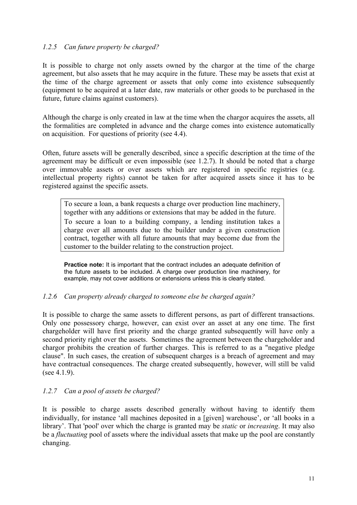# <span id="page-11-0"></span>*1.2.5 Can future property be charged?*

It is possible to charge not only assets owned by the chargor at the time of the charge agreement, but also assets that he may acquire in the future. These may be assets that exist at the time of the charge agreement or assets that only come into existence subsequently (equipment to be acquired at a later date, raw materials or other goods to be purchased in the future, future claims against customers).

Although the charge is only created in law at the time when the chargor acquires the assets, all the formalities are completed in advance and the charge comes into existence automatically on acquisition. For questions of priority (see 4.4).

Often, future assets will be generally described, since a specific description at the time of the agreement may be difficult or even impossible (see 1.2.7). It should be noted that a charge over immovable assets or over assets which are registered in specific registries (e.g. intellectual property rights) cannot be taken for after acquired assets since it has to be registered against the specific assets.

To secure a loan, a bank requests a charge over production line machinery, together with any additions or extensions that may be added in the future. To secure a loan to a building company, a lending institution takes a charge over all amounts due to the builder under a given construction contract, together with all future amounts that may become due from the customer to the builder relating to the construction project.

**Practice note:** It is important that the contract includes an adequate definition of the future assets to be included. A charge over production line machinery, for example, may not cover additions or extensions unless this is clearly stated.

# *1.2.6 Can property already charged to someone else be charged again?*

It is possible to charge the same assets to different persons, as part of different transactions. Only one possessory charge, however, can exist over an asset at any one time. The first chargeholder will have first priority and the charge granted subsequently will have only a second priority right over the assets. Sometimes the agreement between the chargeholder and chargor prohibits the creation of further charges. This is referred to as a "negative pledge clause". In such cases, the creation of subsequent charges is a breach of agreement and may have contractual consequences. The charge created subsequently, however, will still be valid (see  $4.1.9$ ).

# *1.2.7 Can a pool of assets be charged?*

It is possible to charge assets described generally without having to identify them individually, for instance 'all machines deposited in a [given] warehouse', or 'all books in a library'. That 'pool' over which the charge is granted may be *static* or *increasing*. It may also be a *fluctuating* pool of assets where the individual assets that make up the pool are constantly changing.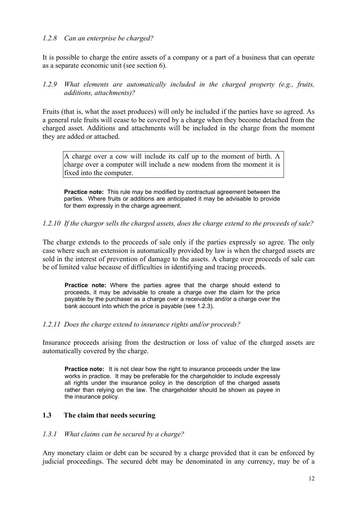#### <span id="page-12-0"></span>*1.2.8 Can an enterprise be charged?*

It is possible to charge the entire assets of a company or a part of a business that can operate as a separate economic unit (see section 6).

#### *1.2.9 What elements are automatically included in the charged property (e.g., fruits, additions, attachments)?*

Fruits (that is, what the asset produces) will only be included if the parties have so agreed. As a general rule fruits will cease to be covered by a charge when they become detached from the charged asset. Additions and attachments will be included in the charge from the moment they are added or attached.

A charge over a cow will include its calf up to the moment of birth. A charge over a computer will include a new modem from the moment it is fixed into the computer.

**Practice note:** This rule may be modified by contractual agreement between the parties. Where fruits or additions are anticipated it may be advisable to provide for them expressly in the charge agreement.

#### *1.2.10 If the chargor sells the charged assets, does the charge extend to the proceeds of sale?*

The charge extends to the proceeds of sale only if the parties expressly so agree. The only case where such an extension is automatically provided by law is when the charged assets are sold in the interest of prevention of damage to the assets. A charge over proceeds of sale can be of limited value because of difficulties in identifying and tracing proceeds.

**Practice note:** Where the parties agree that the charge should extend to proceeds, it may be advisable to create a charge over the claim for the price payable by the purchaser as a charge over a receivable and/or a charge over the bank account into which the price is payable (see 1.2.3).

#### *1.2.11 Does the charge extend to insurance rights and/or proceeds?*

Insurance proceeds arising from the destruction or loss of value of the charged assets are automatically covered by the charge.

**Practice note:** It is not clear how the right to insurance proceeds under the law works in practice. It may be preferable for the chargeholder to include expressly all rights under the insurance policy in the description of the charged assets rather than relying on the law. The chargeholder should be shown as payee in the insurance policy.

#### **1.3 The claim that needs securing**

#### *1.3.1 What claims can be secured by a charge?*

Any monetary claim or debt can be secured by a charge provided that it can be enforced by judicial proceedings. The secured debt may be denominated in any currency, may be of a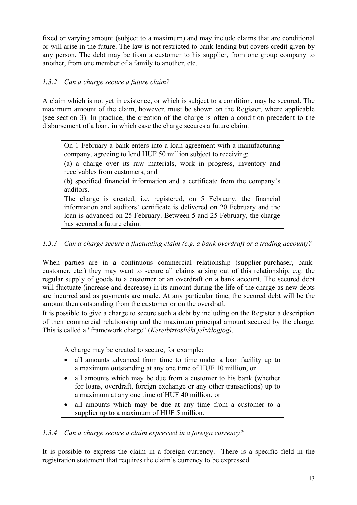<span id="page-13-0"></span>fixed or varying amount (subject to a maximum) and may include claims that are conditional or will arise in the future. The law is not restricted to bank lending but covers credit given by any person. The debt may be from a customer to his supplier, from one group company to another, from one member of a family to another, etc.

# *1.3.2 Can a charge secure a future claim?*

A claim which is not yet in existence, or which is subject to a condition, may be secured. The maximum amount of the claim, however, must be shown on the Register, where applicable (see section 3). In practice, the creation of the charge is often a condition precedent to the disbursement of a loan, in which case the charge secures a future claim.

On 1 February a bank enters into a loan agreement with a manufacturing company, agreeing to lend HUF 50 million subject to receiving:

(a) a charge over its raw materials, work in progress, inventory and receivables from customers, and

(b) specified financial information and a certificate from the company's auditors.

The charge is created, i.e. registered, on 5 February, the financial information and auditors' certificate is delivered on 20 February and the loan is advanced on 25 February. Between 5 and 25 February, the charge has secured a future claim.

# *1.3.3 Can a charge secure a fluctuating claim (e.g. a bank overdraft or a trading account)?*

When parties are in a continuous commercial relationship (supplier-purchaser, bankcustomer, etc.) they may want to secure all claims arising out of this relationship, e.g. the regular supply of goods to a customer or an overdraft on a bank account. The secured debt will fluctuate (increase and decrease) in its amount during the life of the charge as new debts are incurred and as payments are made. At any particular time, the secured debt will be the amount then outstanding from the customer or on the overdraft.

It is possible to give a charge to secure such a debt by including on the Register a description of their commercial relationship and the maximum principal amount secured by the charge. This is called a "framework charge" (*Keretbiztosítéki jelzálogjog)*.

A charge may be created to secure, for example:

- all amounts advanced from time to time under a loan facility up to a maximum outstanding at any one time of HUF 10 million, or
- all amounts which may be due from a customer to his bank (whether for loans, overdraft, foreign exchange or any other transactions) up to a maximum at any one time of HUF 40 million, or
- all amounts which may be due at any time from a customer to a supplier up to a maximum of HUF 5 million.

# *1.3.4 Can a charge secure a claim expressed in a foreign currency?*

It is possible to express the claim in a foreign currency. There is a specific field in the registration statement that requires the claim's currency to be expressed.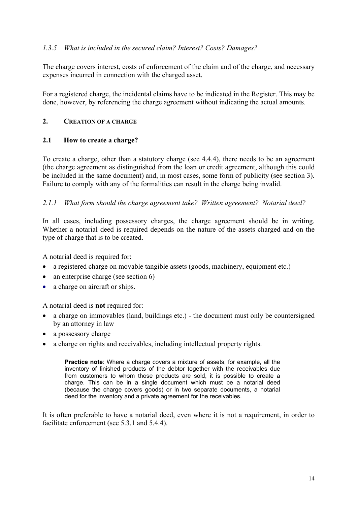# <span id="page-14-0"></span>*1.3.5 What is included in the secured claim? Interest? Costs? Damages?*

The charge covers interest, costs of enforcement of the claim and of the charge, and necessary expenses incurred in connection with the charged asset.

For a registered charge, the incidental claims have to be indicated in the Register. This may be done, however, by referencing the charge agreement without indicating the actual amounts.

#### **2. CREATION OF A CHARGE**

#### **2.1 How to create a charge?**

To create a charge, other than a statutory charge (see 4.4.4), there needs to be an agreement (the charge agreement as distinguished from the loan or credit agreement, although this could be included in the same document) and, in most cases, some form of publicity (see section 3). Failure to comply with any of the formalities can result in the charge being invalid.

#### *2.1.1 What form should the charge agreement take? Written agreement? Notarial deed?*

In all cases, including possessory charges, the charge agreement should be in writing. Whether a notarial deed is required depends on the nature of the assets charged and on the type of charge that is to be created.

A notarial deed is required for:

- a registered charge on movable tangible assets (goods, machinery, equipment etc.)
- an enterprise charge (see section 6)
- a charge on aircraft or ships.

A notarial deed is **not** required for:

- a charge on immovables (land, buildings etc.) the document must only be countersigned by an attorney in law
- a possessory charge
- a charge on rights and receivables, including intellectual property rights.

**Practice note**: Where a charge covers a mixture of assets, for example, all the inventory of finished products of the debtor together with the receivables due from customers to whom those products are sold, it is possible to create a charge. This can be in a single document which must be a notarial deed (because the charge covers goods) or in two separate documents, a notarial deed for the inventory and a private agreement for the receivables.

It is often preferable to have a notarial deed, even where it is not a requirement, in order to facilitate enforcement (see 5.3.1 and 5.4.4).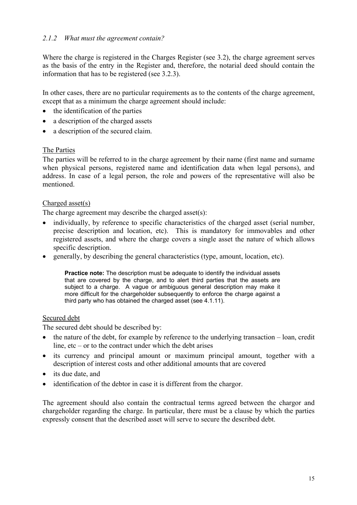# <span id="page-15-0"></span>*2.1.2 What must the agreement contain?*

Where the charge is registered in the Charges Register (see 3.2), the charge agreement serves as the basis of the entry in the Register and, therefore, the notarial deed should contain the information that has to be registered (see 3.2.3).

In other cases, there are no particular requirements as to the contents of the charge agreement, except that as a minimum the charge agreement should include:

- the identification of the parties
- a description of the charged assets
- a description of the secured claim.

#### The Parties

The parties will be referred to in the charge agreement by their name (first name and surname when physical persons, registered name and identification data when legal persons), and address. In case of a legal person, the role and powers of the representative will also be mentioned.

#### Charged asset(s)

The charge agreement may describe the charged asset(s):

- individually, by reference to specific characteristics of the charged asset (serial number, precise description and location, etc). This is mandatory for immovables and other registered assets, and where the charge covers a single asset the nature of which allows specific description. •
- generally, by describing the general characteristics (type, amount, location, etc).

**Practice note:** The description must be adequate to identify the individual assets that are covered by the charge, and to alert third parties that the assets are subject to a charge. A vague or ambiguous general description may make it more difficult for the chargeholder subsequently to enforce the charge against a third party who has obtained the charged asset (see 4.1.11).

#### Secured debt

The secured debt should be described by:

- the nature of the debt, for example by reference to the underlying transaction loan, credit line,  $etc - or to the contract under which the debt arises$ •
- its currency and principal amount or maximum principal amount, together with a description of interest costs and other additional amounts that are covered
- $\bullet$ its due date, and
- identification of the debtor in case it is different from the chargor.

The agreement should also contain the contractual terms agreed between the chargor and chargeholder regarding the charge. In particular, there must be a clause by which the parties expressly consent that the described asset will serve to secure the described debt.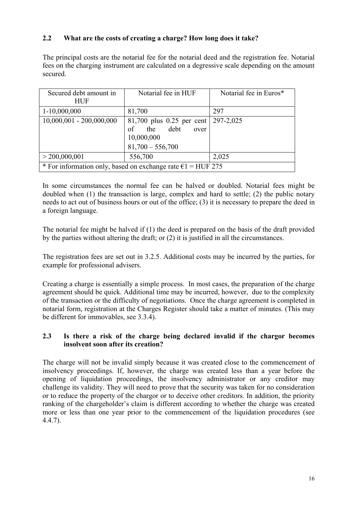# <span id="page-16-0"></span>**2.2 What are the costs of creating a charge? How long does it take?**

The principal costs are the notarial fee for the notarial deed and the registration fee. Notarial fees on the charging instrument are calculated on a degressive scale depending on the amount secured.

| Secured debt amount in<br><b>HUF</b>                                  | Notarial fee in HUF                                                                       | Notarial fee in Euros* |  |  |
|-----------------------------------------------------------------------|-------------------------------------------------------------------------------------------|------------------------|--|--|
| $1-10,000,000$                                                        | 81,700                                                                                    | 297                    |  |  |
| $10,000,001 - 200,000,000$                                            | $81,700$ plus 0.25 per cent<br>the debt<br>of<br>over<br>10,000,000<br>$81,700 - 556,700$ | 297-2,025              |  |  |
| > 200,000,001                                                         | 556,700                                                                                   | 2,025                  |  |  |
| * For information only, based on exchange rate $\epsilon$ 1 = HUF 275 |                                                                                           |                        |  |  |

In some circumstances the normal fee can be halved or doubled. Notarial fees might be doubled when (1) the transaction is large, complex and hard to settle; (2) the public notary needs to act out of business hours or out of the office; (3) it is necessary to prepare the deed in a foreign language.

The notarial fee might be halved if (1) the deed is prepared on the basis of the draft provided by the parties without altering the draft; or (2) it is justified in all the circumstances.

The registration fees are set out in 3.2.5. Additional costs may be incurred by the parties, for example for professional advisers.

Creating a charge is essentially a simple process. In most cases, the preparation of the charge agreement should be quick. Additional time may be incurred, however, due to the complexity of the transaction or the difficulty of negotiations. Once the charge agreement is completed in notarial form, registration at the Charges Register should take a matter of minutes. (This may be different for immovables, see 3.3.4).

# **2.3 Is there a risk of the charge being declared invalid if the chargor becomes insolvent soon after its creation?**

The charge will not be invalid simply because it was created close to the commencement of insolvency proceedings. If, however, the charge was created less than a year before the opening of liquidation proceedings, the insolvency administrator or any creditor may challenge its validity. They will need to prove that the security was taken for no consideration or to reduce the property of the chargor or to deceive other creditors. In addition, the priority ranking of the chargeholder's claim is different according to whether the charge was created more or less than one year prior to the commencement of the liquidation procedures (see 4.4.7).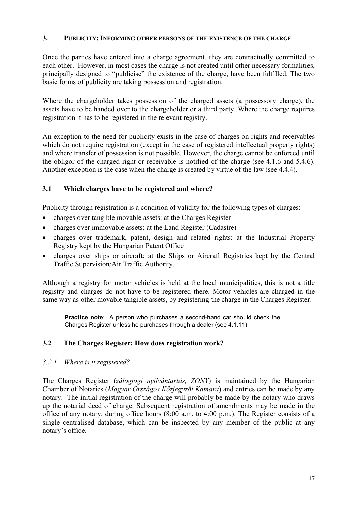#### <span id="page-17-0"></span>**3. PUBLICITY: INFORMING OTHER PERSONS OF THE EXISTENCE OF THE CHARGE**

Once the parties have entered into a charge agreement, they are contractually committed to each other. However, in most cases the charge is not created until other necessary formalities, principally designed to "publicise" the existence of the charge, have been fulfilled. The two basic forms of publicity are taking possession and registration.

Where the chargeholder takes possession of the charged assets (a possessory charge), the assets have to be handed over to the chargeholder or a third party. Where the charge requires registration it has to be registered in the relevant registry.

An exception to the need for publicity exists in the case of charges on rights and receivables which do not require registration (except in the case of registered intellectual property rights) and where transfer of possession is not possible. However, the charge cannot be enforced until the obligor of the charged right or receivable is notified of the charge (see 4.1.6 and 5.4.6). Another exception is the case when the charge is created by virtue of the law (see 4.4.4).

# **3.1 Which charges have to be registered and where?**

Publicity through registration is a condition of validity for the following types of charges:

- charges over tangible movable assets: at the Charges Register
- charges over immovable assets: at the Land Register (Cadastre)
- charges over trademark, patent, design and related rights: at the Industrial Property Registry kept by the Hungarian Patent Office
- charges over ships or aircraft: at the Ships or Aircraft Registries kept by the Central Traffic Supervision/Air Traffic Authority.

Although a registry for motor vehicles is held at the local municipalities, this is not a title registry and charges do not have to be registered there. Motor vehicles are charged in the same way as other movable tangible assets, by registering the charge in the Charges Register.

**Practice note**: A person who purchases a second-hand car should check the Charges Register unless he purchases through a dealer (see 4.1.11).

#### **3.2 The Charges Register: How does registration work?**

*3.2.1 Where is it registered?* 

The Charges Register (*zálogjogi nyilvántartás, ZONY*) is maintained by the Hungarian Chamber of Notaries (*Magyar Országos Közjegyzői Kamara*) and entries can be made by any notary. The initial registration of the charge will probably be made by the notary who draws up the notarial deed of charge. Subsequent registration of amendments may be made in the office of any notary, during office hours (8:00 a.m. to 4:00 p.m.). The Register consists of a single centralised database, which can be inspected by any member of the public at any notary's office.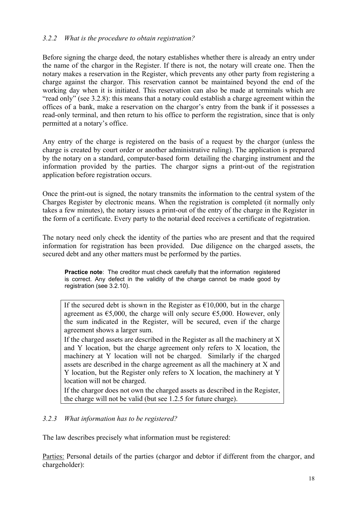# <span id="page-18-0"></span>*3.2.2 What is the procedure to obtain registration?*

Before signing the charge deed, the notary establishes whether there is already an entry under the name of the chargor in the Register. If there is not, the notary will create one. Then the notary makes a reservation in the Register, which prevents any other party from registering a charge against the chargor. This reservation cannot be maintained beyond the end of the working day when it is initiated. This reservation can also be made at terminals which are "read only" (see 3.2.8): this means that a notary could establish a charge agreement within the offices of a bank, make a reservation on the chargor's entry from the bank if it possesses a read-only terminal, and then return to his office to perform the registration, since that is only permitted at a notary's office.

Any entry of the charge is registered on the basis of a request by the chargor (unless the charge is created by court order or another administrative ruling). The application is prepared by the notary on a standard, computer-based form detailing the charging instrument and the information provided by the parties. The chargor signs a print-out of the registration application before registration occurs.

Once the print-out is signed, the notary transmits the information to the central system of the Charges Register by electronic means. When the registration is completed (it normally only takes a few minutes), the notary issues a print-out of the entry of the charge in the Register in the form of a certificate. Every party to the notarial deed receives a certificate of registration.

The notary need only check the identity of the parties who are present and that the required information for registration has been provided. Due diligence on the charged assets, the secured debt and any other matters must be performed by the parties.

**Practice note**: The creditor must check carefully that the information registered is correct. Any defect in the validity of the charge cannot be made good by registration (see 3.2.10).

If the secured debt is shown in the Register as  $\epsilon$ 10,000, but in the charge agreement as  $\epsilon$ 5,000, the charge will only secure  $\epsilon$ 5,000. However, only the sum indicated in the Register, will be secured, even if the charge agreement shows a larger sum.

If the charged assets are described in the Register as all the machinery at  $X$ and Y location, but the charge agreement only refers to X location, the machinery at Y location will not be charged. Similarly if the charged assets are described in the charge agreement as all the machinery at X and Y location, but the Register only refers to X location, the machinery at Y location will not be charged.

If the chargor does not own the charged assets as described in the Register, the charge will not be valid (but see 1.2.5 for future charge).

# *3.2.3 What information has to be registered?*

The law describes precisely what information must be registered:

Parties: Personal details of the parties (chargor and debtor if different from the chargor, and chargeholder):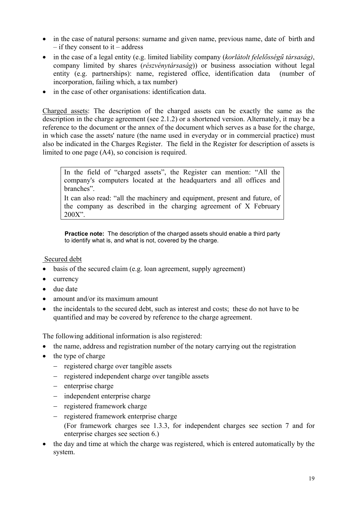- in the case of natural persons: surname and given name, previous name, date of birth and – if they consent to it – address
- in the case of a legal entity (e.g. limited liability company (*korlátolt felelősségű társaság)*, company limited by shares (*részvénytársaság*)) or business association without legal entity (e.g. partnerships): name, registered office, identification data (number of incorporation, failing which, a tax number)
- in the case of other organisations: identification data.

Charged assets: The description of the charged assets can be exactly the same as the description in the charge agreement (see 2.1.2) or a shortened version. Alternately, it may be a reference to the document or the annex of the document which serves as a base for the charge, in which case the assets' nature (the name used in everyday or in commercial practice) must also be indicated in the Charges Register. The field in the Register for description of assets is limited to one page (A4), so concision is required.

In the field of "charged assets", the Register can mention: "All the company's computers located at the headquarters and all offices and branches".

It can also read: "all the machinery and equipment, present and future, of the company as described in the charging agreement of X February 200X".

**Practice note:** The description of the charged assets should enable a third party to identify what is, and what is not, covered by the charge.

# Secured debt

- basis of the secured claim (e.g. loan agreement, supply agreement)
- $\bullet$ currency
- due date
- amount and/or its maximum amount
- the incidentals to the secured debt, such as interest and costs; these do not have to be quantified and may be covered by reference to the charge agreement.

The following additional information is also registered:

- the name, address and registration number of the notary carrying out the registration
- the type of charge
	- − registered charge over tangible assets
	- − registered independent charge over tangible assets
	- − enterprise charge
	- − independent enterprise charge
	- − registered framework charge
	- − registered framework enterprise charge
		- (For framework charges see 1.3.3, for independent charges see section 7 and for enterprise charges see section 6.)
- the day and time at which the charge was registered, which is entered automatically by the system.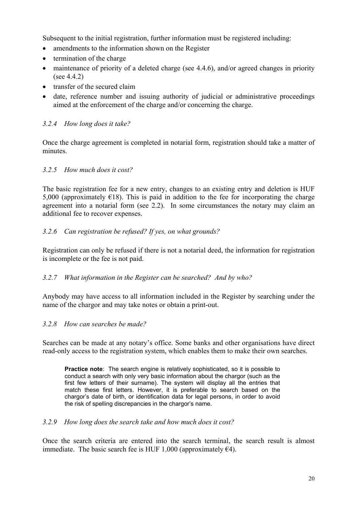<span id="page-20-0"></span>Subsequent to the initial registration, further information must be registered including:

- amendments to the information shown on the Register
- termination of the charge
- maintenance of priority of a deleted charge (see 4.4.6), and/or agreed changes in priority  $(see 4.4.2)$
- transfer of the secured claim
- date, reference number and issuing authority of judicial or administrative proceedings aimed at the enforcement of the charge and/or concerning the charge.

# *3.2.4 How long does it take?*

Once the charge agreement is completed in notarial form, registration should take a matter of minutes.

# *3.2.5 How much does it cost?*

The basic registration fee for a new entry, changes to an existing entry and deletion is HUF 5,000 (approximately  $E(18)$ ). This is paid in addition to the fee for incorporating the charge agreement into a notarial form (see 2.2). In some circumstances the notary may claim an additional fee to recover expenses.

# *3.2.6 Can registration be refused? If yes, on what grounds?*

Registration can only be refused if there is not a notarial deed, the information for registration is incomplete or the fee is not paid.

# *3.2.7 What information in the Register can be searched? And by who?*

Anybody may have access to all information included in the Register by searching under the name of the chargor and may take notes or obtain a print-out.

# *3.2.8 How can searches be made?*

Searches can be made at any notary's office. Some banks and other organisations have direct read-only access to the registration system, which enables them to make their own searches.

**Practice note:** The search engine is relatively sophisticated, so it is possible to conduct a search with only very basic information about the chargor (such as the first few letters of their surname). The system will display all the entries that match these first letters. However, it is preferable to search based on the chargor's date of birth, or identification data for legal persons, in order to avoid the risk of spelling discrepancies in the chargor's name.

# *3.2.9 How long does the search take and how much does it cost?*

Once the search criteria are entered into the search terminal, the search result is almost immediate. The basic search fee is HUF 1,000 (approximately  $\epsilon$ 4).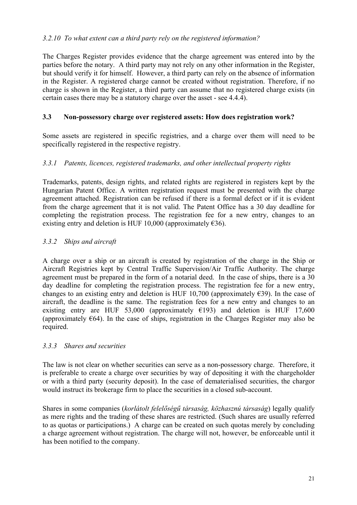# <span id="page-21-0"></span>*3.2.10 To what extent can a third party rely on the registered information?*

The Charges Register provides evidence that the charge agreement was entered into by the parties before the notary. A third party may not rely on any other information in the Register, but should verify it for himself. However, a third party can rely on the absence of information in the Register. A registered charge cannot be created without registration. Therefore, if no charge is shown in the Register, a third party can assume that no registered charge exists (in certain cases there may be a statutory charge over the asset - see 4.4.4).

# **3.3 Non-possessory charge over registered assets: How does registration work?**

Some assets are registered in specific registries, and a charge over them will need to be specifically registered in the respective registry.

# *3.3.1 Patents, licences, registered trademarks, and other intellectual property rights*

Trademarks, patents, design rights, and related rights are registered in registers kept by the Hungarian Patent Office. A written registration request must be presented with the charge agreement attached. Registration can be refused if there is a formal defect or if it is evident from the charge agreement that it is not valid. The Patent Office has a 30 day deadline for completing the registration process. The registration fee for a new entry, changes to an existing entry and deletion is HUF 10,000 (approximately  $\epsilon$ 36).

# *3.3.2 Ships and aircraft*

A charge over a ship or an aircraft is created by registration of the charge in the Ship or Aircraft Registries kept by Central Traffic Supervision/Air Traffic Authority. The charge agreement must be prepared in the form of a notarial deed. In the case of ships, there is a 30 day deadline for completing the registration process. The registration fee for a new entry, changes to an existing entry and deletion is HUF 10,700 (approximately  $\epsilon$ 39). In the case of aircraft, the deadline is the same. The registration fees for a new entry and changes to an existing entry are HUF 53,000 (approximately  $E193$ ) and deletion is HUF 17,600 (approximately  $\epsilon$ 64). In the case of ships, registration in the Charges Register may also be required.

# *3.3.3 Shares and securities*

The law is not clear on whether securities can serve as a non-possessory charge. Therefore, it is preferable to create a charge over securities by way of depositing it with the chargeholder or with a third party (security deposit). In the case of dematerialised securities, the chargor would instruct its brokerage firm to place the securities in a closed sub-account.

Shares in some companies (*korlátolt felelőségű társaság, közhasznú társaság*) legally qualify as mere rights and the trading of these shares are restricted. (Such shares are usually referred to as quotas or participations.) A charge can be created on such quotas merely by concluding a charge agreement without registration. The charge will not, however, be enforceable until it has been notified to the company.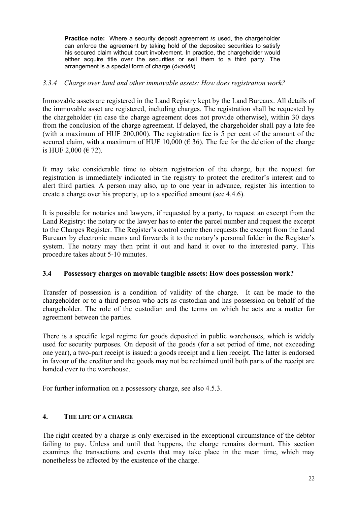<span id="page-22-0"></span>**Practice note:** Where a security deposit agreement *i*s used, the chargeholder can enforce the agreement by taking hold of the deposited securities to satisfy his secured claim without court involvement. In practice, the chargeholder would either acquire title over the securities or sell them to a third party. The arrangement is a special form of charge (*óvadék*).

# *3.3.4 Charge over land and other immovable assets: How does registration work?*

Immovable assets are registered in the Land Registry kept by the Land Bureaux. All details of the immovable asset are registered, including charges. The registration shall be requested by the chargeholder (in case the charge agreement does not provide otherwise), within 30 days from the conclusion of the charge agreement. If delayed, the chargeholder shall pay a late fee (with a maximum of HUF 200,000). The registration fee is 5 per cent of the amount of the secured claim, with a maximum of HUF 10,000 ( $\in$  36). The fee for the deletion of the charge is HUF 2,000 (€ 72).

It may take considerable time to obtain registration of the charge, but the request for registration is immediately indicated in the registry to protect the creditor's interest and to alert third parties. A person may also, up to one year in advance, register his intention to create a charge over his property, up to a specified amount (see 4.4.6).

It is possible for notaries and lawyers, if requested by a party, to request an excerpt from the Land Registry: the notary or the lawyer has to enter the parcel number and request the excerpt to the Charges Register. The Register's control centre then requests the excerpt from the Land Bureaux by electronic means and forwards it to the notary's personal folder in the Register's system. The notary may then print it out and hand it over to the interested party. This procedure takes about 5-10 minutes.

# **3.4 Possessory charges on movable tangible assets: How does possession work?**

Transfer of possession is a condition of validity of the charge. It can be made to the chargeholder or to a third person who acts as custodian and has possession on behalf of the chargeholder. The role of the custodian and the terms on which he acts are a matter for agreement between the parties.

There is a specific legal regime for goods deposited in public warehouses, which is widely used for security purposes. On deposit of the goods (for a set period of time, not exceeding one year), a two-part receipt is issued: a goods receipt and a lien receipt. The latter is endorsed in favour of the creditor and the goods may not be reclaimed until both parts of the receipt are handed over to the warehouse.

For further information on a possessory charge, see also 4.5.3.

# **4. THE LIFE OF A CHARGE**

The right created by a charge is only exercised in the exceptional circumstance of the debtor failing to pay. Unless and until that happens, the charge remains dormant. This section examines the transactions and events that may take place in the mean time, which may nonetheless be affected by the existence of the charge.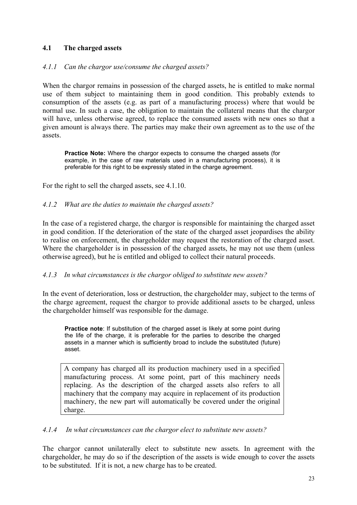# <span id="page-23-0"></span>**4.1 The charged assets**

# *4.1.1 Can the chargor use/consume the charged assets?*

When the chargor remains in possession of the charged assets, he is entitled to make normal use of them subject to maintaining them in good condition. This probably extends to consumption of the assets (e.g. as part of a manufacturing process) where that would be normal use. In such a case, the obligation to maintain the collateral means that the chargor will have, unless otherwise agreed, to replace the consumed assets with new ones so that a given amount is always there. The parties may make their own agreement as to the use of the assets.

**Practice Note:** Where the chargor expects to consume the charged assets (for example, in the case of raw materials used in a manufacturing process), it is preferable for this right to be expressly stated in the charge agreement.

For the right to sell the charged assets, see 4.1.10.

#### *4.1.2 What are the duties to maintain the charged assets?*

In the case of a registered charge, the chargor is responsible for maintaining the charged asset in good condition. If the deterioration of the state of the charged asset jeopardises the ability to realise on enforcement, the chargeholder may request the restoration of the charged asset. Where the chargeholder is in possession of the charged assets, he may not use them (unless otherwise agreed), but he is entitled and obliged to collect their natural proceeds.

#### *4.1.3 In what circumstances is the chargor obliged to substitute new assets?*

In the event of deterioration, loss or destruction, the chargeholder may, subject to the terms of the charge agreement, request the chargor to provide additional assets to be charged, unless the chargeholder himself was responsible for the damage.

**Practice note:** If substitution of the charged asset is likely at some point during the life of the charge, it is preferable for the parties to describe the charged assets in a manner which is sufficiently broad to include the substituted (future) asset.

A company has charged all its production machinery used in a specified manufacturing process. At some point, part of this machinery needs replacing. As the description of the charged assets also refers to all machinery that the company may acquire in replacement of its production machinery, the new part will automatically be covered under the original charge.

#### *4.1.4 In what circumstances can the chargor elect to substitute new assets?*

The chargor cannot unilaterally elect to substitute new assets. In agreement with the chargeholder, he may do so if the description of the assets is wide enough to cover the assets to be substituted. If it is not, a new charge has to be created.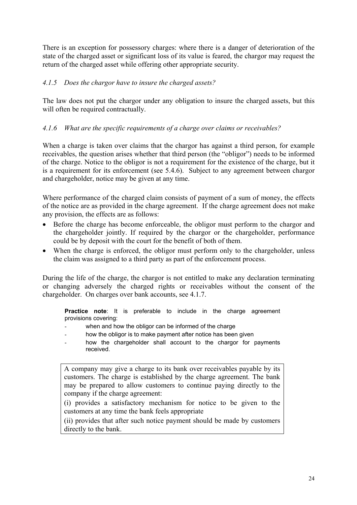<span id="page-24-0"></span>There is an exception for possessory charges: where there is a danger of deterioration of the state of the charged asset or significant loss of its value is feared, the chargor may request the return of the charged asset while offering other appropriate security.

# *4.1.5 Does the chargor have to insure the charged assets?*

The law does not put the chargor under any obligation to insure the charged assets, but this will often be required contractually.

# *4.1.6 What are the specific requirements of a charge over claims or receivables?*

When a charge is taken over claims that the chargor has against a third person, for example receivables, the question arises whether that third person (the "obligor") needs to be informed of the charge. Notice to the obligor is not a requirement for the existence of the charge, but it is a requirement for its enforcement (see 5.4.6). Subject to any agreement between chargor and chargeholder, notice may be given at any time.

Where performance of the charged claim consists of payment of a sum of money, the effects of the notice are as provided in the charge agreement. If the charge agreement does not make any provision, the effects are as follows:

- Before the charge has become enforceable, the obligor must perform to the chargor and the chargeholder jointly. If required by the chargor or the chargeholder, performance could be by deposit with the court for the benefit of both of them. •
- When the charge is enforced, the obligor must perform only to the chargeholder, unless the claim was assigned to a third party as part of the enforcement process.

During the life of the charge, the chargor is not entitled to make any declaration terminating or changing adversely the charged rights or receivables without the consent of the chargeholder. On charges over bank accounts, see 4.1.7.

**Practice note**: It is preferable to include in the charge agreement provisions covering:

- when and how the obligor can be informed of the charge
- how the obligor is to make payment after notice has been given
- how the chargeholder shall account to the chargor for payments received.

A company may give a charge to its bank over receivables payable by its customers. The charge is established by the charge agreement. The bank may be prepared to allow customers to continue paying directly to the company if the charge agreement:

(i) provides a satisfactory mechanism for notice to be given to the customers at any time the bank feels appropriate

(ii) provides that after such notice payment should be made by customers directly to the bank.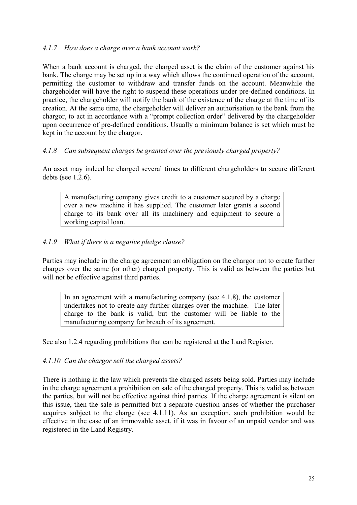# <span id="page-25-0"></span>*4.1.7 How does a charge over a bank account work?*

When a bank account is charged, the charged asset is the claim of the customer against his bank. The charge may be set up in a way which allows the continued operation of the account, permitting the customer to withdraw and transfer funds on the account. Meanwhile the chargeholder will have the right to suspend these operations under pre-defined conditions. In practice, the chargeholder will notify the bank of the existence of the charge at the time of its creation. At the same time, the chargeholder will deliver an authorisation to the bank from the chargor, to act in accordance with a "prompt collection order" delivered by the chargeholder upon occurrence of pre-defined conditions. Usually a minimum balance is set which must be kept in the account by the chargor.

# *4.1.8 Can subsequent charges be granted over the previously charged property?*

An asset may indeed be charged several times to different chargeholders to secure different debts (see 1.2.6).

A manufacturing company gives credit to a customer secured by a charge over a new machine it has supplied. The customer later grants a second charge to its bank over all its machinery and equipment to secure a working capital loan.

#### *4.1.9 What if there is a negative pledge clause?*

Parties may include in the charge agreement an obligation on the chargor not to create further charges over the same (or other) charged property. This is valid as between the parties but will not be effective against third parties.

In an agreement with a manufacturing company (see 4.1.8), the customer undertakes not to create any further charges over the machine. The later charge to the bank is valid, but the customer will be liable to the manufacturing company for breach of its agreement.

See also 1.2.4 regarding prohibitions that can be registered at the Land Register.

#### *4.1.10 Can the chargor sell the charged assets?*

There is nothing in the law which prevents the charged assets being sold. Parties may include in the charge agreement a prohibition on sale of the charged property. This is valid as between the parties, but will not be effective against third parties. If the charge agreement is silent on this issue, then the sale is permitted but a separate question arises of whether the purchaser acquires subject to the charge (see 4.1.11). As an exception, such prohibition would be effective in the case of an immovable asset, if it was in favour of an unpaid vendor and was registered in the Land Registry.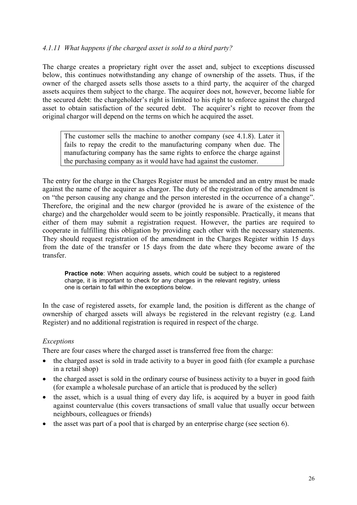# <span id="page-26-0"></span>*4.1.11 What happens if the charged asset is sold to a third party?*

The charge creates a proprietary right over the asset and, subject to exceptions discussed below, this continues notwithstanding any change of ownership of the assets. Thus, if the owner of the charged assets sells those assets to a third party, the acquirer of the charged assets acquires them subject to the charge. The acquirer does not, however, become liable for the secured debt: the chargeholder's right is limited to his right to enforce against the charged asset to obtain satisfaction of the secured debt. The acquirer's right to recover from the original chargor will depend on the terms on which he acquired the asset.

The customer sells the machine to another company (see 4.1.8). Later it fails to repay the credit to the manufacturing company when due. The manufacturing company has the same rights to enforce the charge against the purchasing company as it would have had against the customer.

The entry for the charge in the Charges Register must be amended and an entry must be made against the name of the acquirer as chargor. The duty of the registration of the amendment is on "the person causing any change and the person interested in the occurrence of a change". Therefore, the original and the new chargor (provided he is aware of the existence of the charge) and the chargeholder would seem to be jointly responsible. Practically, it means that either of them may submit a registration request. However, the parties are required to cooperate in fulfilling this obligation by providing each other with the necessary statements. They should request registration of the amendment in the Charges Register within 15 days from the date of the transfer or 15 days from the date where they become aware of the transfer.

**Practice note**: When acquiring assets, which could be subject to a registered charge, it is important to check for any charges in the relevant registry, unless one is certain to fall within the exceptions below.

In the case of registered assets, for example land, the position is different as the change of ownership of charged assets will always be registered in the relevant registry (e.g. Land Register) and no additional registration is required in respect of the charge.

# *Exceptions*

There are four cases where the charged asset is transferred free from the charge:

- the charged asset is sold in trade activity to a buyer in good faith (for example a purchase in a retail shop)
- the charged asset is sold in the ordinary course of business activity to a buyer in good faith (for example a wholesale purchase of an article that is produced by the seller)
- $\bullet$ the asset, which is a usual thing of every day life, is acquired by a buyer in good faith against countervalue (this covers transactions of small value that usually occur between neighbours, colleagues or friends)
- the asset was part of a pool that is charged by an enterprise charge (see section 6).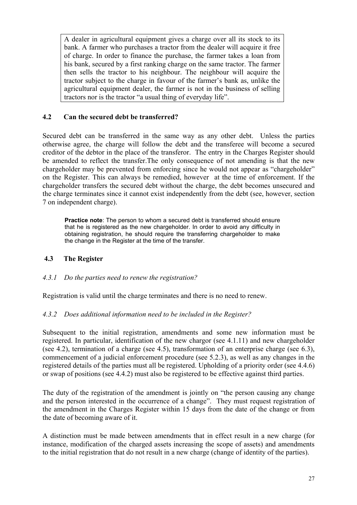<span id="page-27-0"></span>A dealer in agricultural equipment gives a charge over all its stock to its bank. A farmer who purchases a tractor from the dealer will acquire it free of charge. In order to finance the purchase, the farmer takes a loan from his bank, secured by a first ranking charge on the same tractor. The farmer then sells the tractor to his neighbour. The neighbour will acquire the tractor subject to the charge in favour of the farmer's bank as, unlike the agricultural equipment dealer, the farmer is not in the business of selling tractors nor is the tractor "a usual thing of everyday life".

# **4.2 Can the secured debt be transferred?**

Secured debt can be transferred in the same way as any other debt. Unless the parties otherwise agree, the charge will follow the debt and the transferee will become a secured creditor of the debtor in the place of the transferor. The entry in the Charges Register should be amended to reflect the transfer.The only consequence of not amending is that the new chargeholder may be prevented from enforcing since he would not appear as "chargeholder" on the Register. This can always be remedied, however at the time of enforcement. If the chargeholder transfers the secured debt without the charge, the debt becomes unsecured and the charge terminates since it cannot exist independently from the debt (see, however, section 7 on independent charge).

**Practice note:** The person to whom a secured debt is transferred should ensure that he is registered as the new chargeholder. In order to avoid any difficulty in obtaining registration, he should require the transferring chargeholder to make the change in the Register at the time of the transfer.

# **4.3 The Register**

# *4.3.1 Do the parties need to renew the registration?*

Registration is valid until the charge terminates and there is no need to renew.

# *4.3.2 Does additional information need to be included in the Register?*

Subsequent to the initial registration, amendments and some new information must be registered. In particular, identification of the new chargor (see 4.1.11) and new chargeholder (see 4.2), termination of a charge (see 4.5), transformation of an enterprise charge (see 6.3), commencement of a judicial enforcement procedure (see 5.2.3), as well as any changes in the registered details of the parties must all be registered. Upholding of a priority order (see 4.4.6) or swap of positions (see 4.4.2) must also be registered to be effective against third parties.

The duty of the registration of the amendment is jointly on "the person causing any change and the person interested in the occurrence of a change". They must request registration of the amendment in the Charges Register within 15 days from the date of the change or from the date of becoming aware of it.

A distinction must be made between amendments that in effect result in a new charge (for instance, modification of the charged assets increasing the scope of assets) and amendments to the initial registration that do not result in a new charge (change of identity of the parties).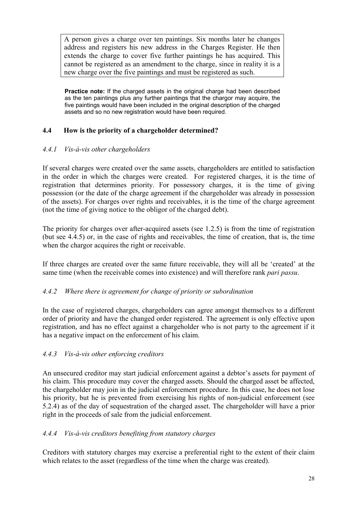<span id="page-28-0"></span>A person gives a charge over ten paintings. Six months later he changes address and registers his new address in the Charges Register. He then extends the charge to cover five further paintings he has acquired. This cannot be registered as an amendment to the charge, since in reality it is a new charge over the five paintings and must be registered as such.

**Practice note:** If the charged assets in the original charge had been described as the ten paintings plus any further paintings that the chargor may acquire, the five paintings would have been included in the original description of the charged assets and so no new registration would have been required.

# **4.4 How is the priority of a chargeholder determined?**

# *4.4.1 Vis-à-vis other chargeholders*

If several charges were created over the same assets, chargeholders are entitled to satisfaction in the order in which the charges were created. For registered charges, it is the time of registration that determines priority. For possessory charges, it is the time of giving possession (or the date of the charge agreement if the chargeholder was already in possession of the assets). For charges over rights and receivables, it is the time of the charge agreement (not the time of giving notice to the obligor of the charged debt).

The priority for charges over after-acquired assets (see 1.2.5) is from the time of registration (but see 4.4.5) or, in the case of rights and receivables, the time of creation, that is, the time when the chargor acquires the right or receivable.

If three charges are created over the same future receivable, they will all be 'created' at the same time (when the receivable comes into existence) and will therefore rank *pari passu*.

# *4.4.2 Where there is agreement for change of priority or subordination*

In the case of registered charges, chargeholders can agree amongst themselves to a different order of priority and have the changed order registered. The agreement is only effective upon registration, and has no effect against a chargeholder who is not party to the agreement if it has a negative impact on the enforcement of his claim.

# *4.4.3 Vis-à-vis other enforcing creditors*

An unsecured creditor may start judicial enforcement against a debtor's assets for payment of his claim. This procedure may cover the charged assets. Should the charged asset be affected, the chargeholder may join in the judicial enforcement procedure. In this case, he does not lose his priority, but he is prevented from exercising his rights of non-judicial enforcement (see 5.2.4) as of the day of sequestration of the charged asset. The chargeholder will have a prior right in the proceeds of sale from the judicial enforcement.

# *4.4.4 Vis-à-vis creditors benefiting from statutory charges*

Creditors with statutory charges may exercise a preferential right to the extent of their claim which relates to the asset (regardless of the time when the charge was created).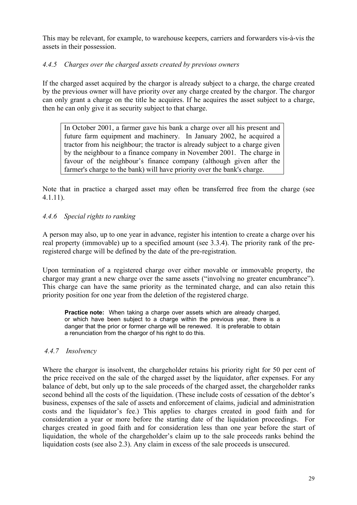<span id="page-29-0"></span>This may be relevant, for example, to warehouse keepers, carriers and forwarders vis-à-vis the assets in their possession.

# *4.4.5 Charges over the charged assets created by previous owners*

If the charged asset acquired by the chargor is already subject to a charge, the charge created by the previous owner will have priority over any charge created by the chargor. The chargor can only grant a charge on the title he acquires. If he acquires the asset subject to a charge, then he can only give it as security subject to that charge.

In October 2001, a farmer gave his bank a charge over all his present and future farm equipment and machinery. In January 2002, he acquired a tractor from his neighbour; the tractor is already subject to a charge given by the neighbour to a finance company in November 2001. The charge in favour of the neighbour's finance company (although given after the farmer's charge to the bank) will have priority over the bank's charge.

Note that in practice a charged asset may often be transferred free from the charge (see 4.1.11).

# *4.4.6 Special rights to ranking*

A person may also, up to one year in advance, register his intention to create a charge over his real property (immovable) up to a specified amount (see 3.3.4). The priority rank of the preregistered charge will be defined by the date of the pre-registration.

Upon termination of a registered charge over either movable or immovable property, the chargor may grant a new charge over the same assets ("involving no greater encumbrance"). This charge can have the same priority as the terminated charge, and can also retain this priority position for one year from the deletion of the registered charge.

**Practice note:** When taking a charge over assets which are already charged. or which have been subject to a charge within the previous year, there is a danger that the prior or former charge will be renewed. It is preferable to obtain a renunciation from the chargor of his right to do this.

# *4.4.7 Insolvency*

Where the chargor is insolvent, the chargeholder retains his priority right for 50 per cent of the price received on the sale of the charged asset by the liquidator, after expenses. For any balance of debt, but only up to the sale proceeds of the charged asset, the chargeholder ranks second behind all the costs of the liquidation. (These include costs of cessation of the debtor's business, expenses of the sale of assets and enforcement of claims, judicial and administration costs and the liquidator's fee.) This applies to charges created in good faith and for consideration a year or more before the starting date of the liquidation proceedings. For charges created in good faith and for consideration less than one year before the start of liquidation, the whole of the chargeholder's claim up to the sale proceeds ranks behind the liquidation costs (see also 2.3). Any claim in excess of the sale proceeds is unsecured.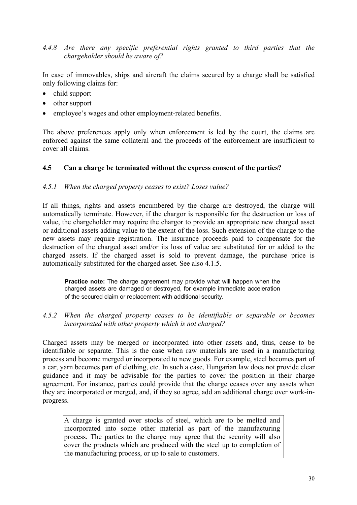# <span id="page-30-0"></span>*4.4.8 Are there any specific preferential rights granted to third parties that the chargeholder should be aware of?*

In case of immovables, ships and aircraft the claims secured by a charge shall be satisfied only following claims for:

- child support
- other support
- employee's wages and other employment-related benefits.

The above preferences apply only when enforcement is led by the court, the claims are enforced against the same collateral and the proceeds of the enforcement are insufficient to cover all claims.

# **4.5 Can a charge be terminated without the express consent of the parties?**

#### *4.5.1 When the charged property ceases to exist? Loses value?*

If all things, rights and assets encumbered by the charge are destroyed, the charge will automatically terminate. However, if the chargor is responsible for the destruction or loss of value, the chargeholder may require the chargor to provide an appropriate new charged asset or additional assets adding value to the extent of the loss. Such extension of the charge to the new assets may require registration. The insurance proceeds paid to compensate for the destruction of the charged asset and/or its loss of value are substituted for or added to the charged assets. If the charged asset is sold to prevent damage, the purchase price is automatically substituted for the charged asset. See also 4.1.5.

**Practice note:** The charge agreement may provide what will happen when the charged assets are damaged or destroyed, for example immediate acceleration of the secured claim or replacement with additional security*.* 

*4.5.2 When the charged property ceases to be identifiable or separable or becomes incorporated with other property which is not charged?* 

Charged assets may be merged or incorporated into other assets and, thus, cease to be identifiable or separate. This is the case when raw materials are used in a manufacturing process and become merged or incorporated to new goods. For example, steel becomes part of a car, yarn becomes part of clothing, etc. In such a case, Hungarian law does not provide clear guidance and it may be advisable for the parties to cover the position in their charge agreement. For instance, parties could provide that the charge ceases over any assets when they are incorporated or merged, and, if they so agree, add an additional charge over work-inprogress.

A charge is granted over stocks of steel, which are to be melted and incorporated into some other material as part of the manufacturing process. The parties to the charge may agree that the security will also cover the products which are produced with the steel up to completion of the manufacturing process, or up to sale to customers.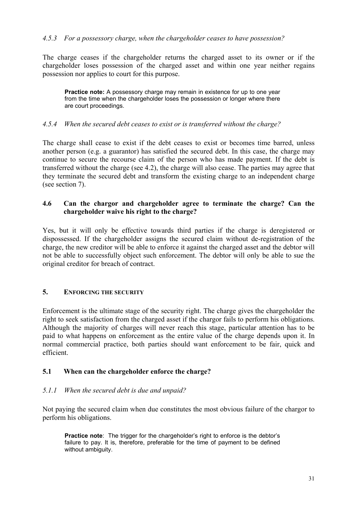#### <span id="page-31-0"></span>*4.5.3 For a possessory charge, when the chargeholder ceases to have possession?*

The charge ceases if the chargeholder returns the charged asset to its owner or if the chargeholder loses possession of the charged asset and within one year neither regains possession nor applies to court for this purpose.

**Practice note:** A possessory charge may remain in existence for up to one year from the time when the chargeholder loses the possession or longer where there are court proceedings.

#### *4.5.4 When the secured debt ceases to exist or is transferred without the charge?*

The charge shall cease to exist if the debt ceases to exist or becomes time barred, unless another person (e.g. a guarantor) has satisfied the secured debt. In this case, the charge may continue to secure the recourse claim of the person who has made payment. If the debt is transferred without the charge (see 4.2), the charge will also cease. The parties may agree that they terminate the secured debt and transform the existing charge to an independent charge (see section 7).

#### **4.6 Can the chargor and chargeholder agree to terminate the charge? Can the chargeholder waive his right to the charge?**

Yes, but it will only be effective towards third parties if the charge is deregistered or dispossessed. If the chargeholder assigns the secured claim without de-registration of the charge, the new creditor will be able to enforce it against the charged asset and the debtor will not be able to successfully object such enforcement. The debtor will only be able to sue the original creditor for breach of contract.

#### **5. ENFORCING THE SECURITY**

Enforcement is the ultimate stage of the security right. The charge gives the chargeholder the right to seek satisfaction from the charged asset if the chargor fails to perform his obligations. Although the majority of charges will never reach this stage, particular attention has to be paid to what happens on enforcement as the entire value of the charge depends upon it. In normal commercial practice, both parties should want enforcement to be fair, quick and efficient.

#### **5.1 When can the chargeholder enforce the charge?**

#### *5.1.1 When the secured debt is due and unpaid?*

Not paying the secured claim when due constitutes the most obvious failure of the chargor to perform his obligations.

**Practice note:** The trigger for the chargeholder's right to enforce is the debtor's failure to pay. It is, therefore, preferable for the time of payment to be defined without ambiguity.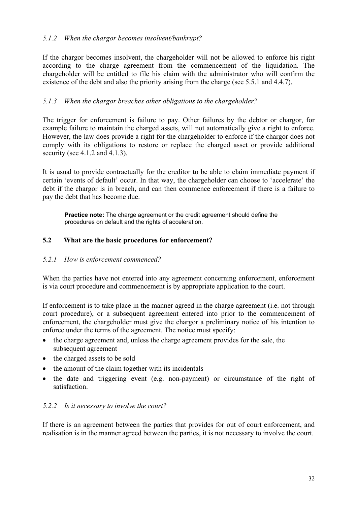# <span id="page-32-0"></span>*5.1.2 When the chargor becomes insolvent/bankrupt?*

If the chargor becomes insolvent, the chargeholder will not be allowed to enforce his right according to the charge agreement from the commencement of the liquidation. The chargeholder will be entitled to file his claim with the administrator who will confirm the existence of the debt and also the priority arising from the charge (see 5.5.1 and 4.4.7).

# *5.1.3 When the chargor breaches other obligations to the chargeholder?*

The trigger for enforcement is failure to pay. Other failures by the debtor or chargor, for example failure to maintain the charged assets, will not automatically give a right to enforce. However, the law does provide a right for the chargeholder to enforce if the chargor does not comply with its obligations to restore or replace the charged asset or provide additional security (see 4.1.2 and 4.1.3).

It is usual to provide contractually for the creditor to be able to claim immediate payment if certain 'events of default' occur. In that way, the chargeholder can choose to 'accelerate' the debt if the chargor is in breach, and can then commence enforcement if there is a failure to pay the debt that has become due.

**Practice note:** The charge agreement or the credit agreement should define the procedures on default and the rights of acceleration.

# **5.2 What are the basic procedures for enforcement?**

# *5.2.1 How is enforcement commenced?*

When the parties have not entered into any agreement concerning enforcement, enforcement is via court procedure and commencement is by appropriate application to the court.

If enforcement is to take place in the manner agreed in the charge agreement (i.e. not through court procedure), or a subsequent agreement entered into prior to the commencement of enforcement, the chargeholder must give the chargor a preliminary notice of his intention to enforce under the terms of the agreement. The notice must specify:

- the charge agreement and, unless the charge agreement provides for the sale, the subsequent agreement •
- the charged assets to be sold
- the amount of the claim together with its incidentals
- the date and triggering event (e.g. non-payment) or circumstance of the right of satisfaction.

# *5.2.2 Is it necessary to involve the court?*

If there is an agreement between the parties that provides for out of court enforcement, and realisation is in the manner agreed between the parties, it is not necessary to involve the court.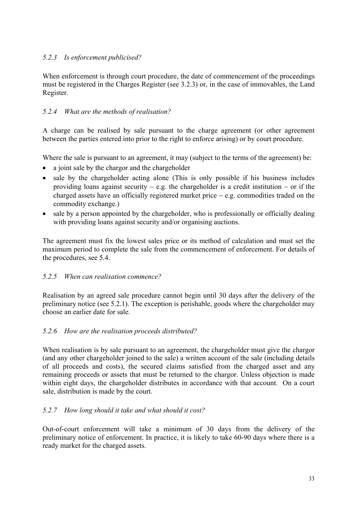# <span id="page-33-0"></span>*5.2.3 Is enforcement publicised?*

When enforcement is through court procedure, the date of commencement of the proceedings must be registered in the Charges Register (see 3.2.3) or, in the case of immovables, the Land Register.

# *5.2.4 What are the methods of realisation?*

A charge can be realised by sale pursuant to the charge agreement (or other agreement between the parties entered into prior to the right to enforce arising) or by court procedure.

Where the sale is pursuant to an agreement, it may (subject to the terms of the agreement) be:

- a joint sale by the chargor and the chargeholder
- sale by the chargeholder acting alone (This is only possible if his business includes providing loans against security  $-$  e.g. the chargeholder is a credit institution  $-$  or if the charged assets have an officially registered market price − e.g. commodities traded on the commodity exchange.)
- sale by a person appointed by the chargeholder, who is professionally or officially dealing with providing loans against security and/or organising auctions.

The agreement must fix the lowest sales price or its method of calculation and must set the maximum period to complete the sale from the commencement of enforcement. For details of the procedures, see 5.4.

# *5.2.5 When can realisation commence?*

Realisation by an agreed sale procedure cannot begin until 30 days after the delivery of the preliminary notice (see 5.2.1). The exception is perishable, goods where the chargeholder may choose an earlier date for sale.

# *5.2.6 How are the realisation proceeds distributed?*

When realisation is by sale pursuant to an agreement, the chargeholder must give the chargor (and any other chargeholder joined to the sale) a written account of the sale (including details of all proceeds and costs), the secured claims satisfied from the charged asset and any remaining proceeds or assets that must be returned to the chargor. Unless objection is made within eight days, the chargeholder distributes in accordance with that account. On a court sale, distribution is made by the court.

# *5.2.7 How long should it take and what should it cost?*

Out-of-court enforcement will take a minimum of 30 days from the delivery of the preliminary notice of enforcement. In practice, it is likely to take 60-90 days where there is a ready market for the charged assets.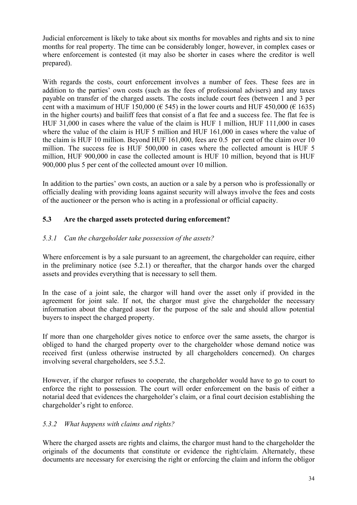<span id="page-34-0"></span>Judicial enforcement is likely to take about six months for movables and rights and six to nine months for real property. The time can be considerably longer, however, in complex cases or where enforcement is contested (it may also be shorter in cases where the creditor is well prepared).

With regards the costs, court enforcement involves a number of fees. These fees are in addition to the parties' own costs (such as the fees of professional advisers) and any taxes payable on transfer of the charged assets. The costs include court fees (between 1 and 3 per cent with a maximum of HUF 150,000 ( $\epsilon$  545) in the lower courts and HUF 450,000 ( $\epsilon$  1635) in the higher courts) and bailiff fees that consist of a flat fee and a success fee. The flat fee is HUF 31,000 in cases where the value of the claim is HUF 1 million, HUF 111,000 in cases where the value of the claim is HUF 5 million and HUF 161,000 in cases where the value of the claim is HUF 10 million. Beyond HUF 161,000, fees are 0.5 per cent of the claim over 10 million. The success fee is HUF 500,000 in cases where the collected amount is HUF 5 million, HUF 900,000 in case the collected amount is HUF 10 million, beyond that is HUF 900,000 plus 5 per cent of the collected amount over 10 million.

In addition to the parties' own costs, an auction or a sale by a person who is professionally or officially dealing with providing loans against security will always involve the fees and costs of the auctioneer or the person who is acting in a professional or official capacity.

# **5.3 Are the charged assets protected during enforcement?**

# *5.3.1 Can the chargeholder take possession of the assets?*

Where enforcement is by a sale pursuant to an agreement, the chargeholder can require, either in the preliminary notice (see 5.2.1) or thereafter, that the chargor hands over the charged assets and provides everything that is necessary to sell them.

In the case of a joint sale, the chargor will hand over the asset only if provided in the agreement for joint sale. If not, the chargor must give the chargeholder the necessary information about the charged asset for the purpose of the sale and should allow potential buyers to inspect the charged property.

If more than one chargeholder gives notice to enforce over the same assets, the chargor is obliged to hand the charged property over to the chargeholder whose demand notice was received first (unless otherwise instructed by all chargeholders concerned). On charges involving several chargeholders, see 5.5.2.

However, if the chargor refuses to cooperate, the chargeholder would have to go to court to enforce the right to possession. The court will order enforcement on the basis of either a notarial deed that evidences the chargeholder's claim, or a final court decision establishing the chargeholder's right to enforce.

# *5.3.2 What happens with claims and rights?*

Where the charged assets are rights and claims, the chargor must hand to the chargeholder the originals of the documents that constitute or evidence the right/claim. Alternately, these documents are necessary for exercising the right or enforcing the claim and inform the obligor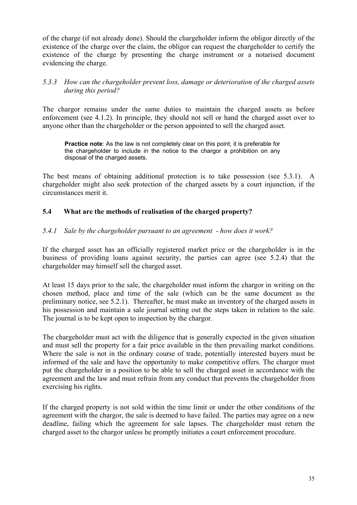<span id="page-35-0"></span>of the charge (if not already done). Should the chargeholder inform the obligor directly of the existence of the charge over the claim, the obligor can request the chargeholder to certify the existence of the charge by presenting the charge instrument or a notarised document evidencing the charge.

# *5.3.3 How can the chargeholder prevent loss, damage or deterioration of the charged assets during this period?*

The chargor remains under the same duties to maintain the charged assets as before enforcement (see 4.1.2). In principle, they should not sell or hand the charged asset over to anyone other than the chargeholder or the person appointed to sell the charged asset.

**Practice note:** As the law is not completely clear on this point, it is preferable for the chargeholder to include in the notice to the chargor a prohibition on any disposal of the charged assets.

The best means of obtaining additional protection is to take possession (see 5.3.1). A chargeholder might also seek protection of the charged assets by a court injunction, if the circumstances merit it.

# **5.4 What are the methods of realisation of the charged property?**

#### *5.4.1 Sale by the chargeholder pursuant to an agreement - how does it work?*

If the charged asset has an officially registered market price or the chargeholder is in the business of providing loans against security, the parties can agree (see 5.2.4) that the chargeholder may himself sell the charged asset.

At least 15 days prior to the sale, the chargeholder must inform the chargor in writing on the chosen method, place and time of the sale (which can be the same document as the preliminary notice, see 5.2.1). Thereafter, he must make an inventory of the charged assets in his possession and maintain a sale journal setting out the steps taken in relation to the sale. The journal is to be kept open to inspection by the chargor.

The chargeholder must act with the diligence that is generally expected in the given situation and must sell the property for a fair price available in the then prevailing market conditions. Where the sale is not in the ordinary course of trade, potentially interested buyers must be informed of the sale and have the opportunity to make competitive offers. The chargor must put the chargeholder in a position to be able to sell the charged asset in accordance with the agreement and the law and must refrain from any conduct that prevents the chargeholder from exercising his rights.

If the charged property is not sold within the time limit or under the other conditions of the agreement with the chargor, the sale is deemed to have failed. The parties may agree on a new deadline, failing which the agreement for sale lapses. The chargeholder must return the charged asset to the chargor unless he promptly initiates a court enforcement procedure.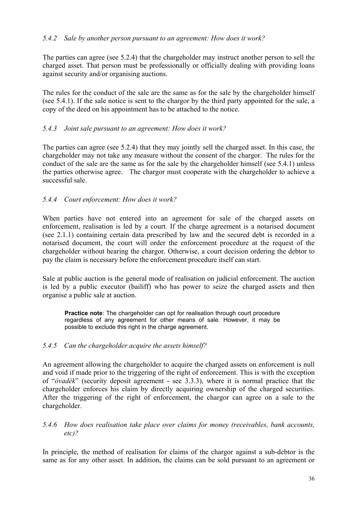# <span id="page-36-0"></span>*5.4.2 Sale by another person pursuant to an agreement: How does it work?*

The parties can agree (see 5.2.4) that the chargeholder may instruct another person to sell the charged asset. That person must be professionally or officially dealing with providing loans against security and/or organising auctions.

The rules for the conduct of the sale are the same as for the sale by the chargeholder himself (see 5.4.1). If the sale notice is sent to the chargor by the third party appointed for the sale, a copy of the deed on his appointment has to be attached to the notice.

# *5.4.3 Joint sale pursuant to an agreement: How does it work?*

The parties can agree (see 5.2.4) that they may jointly sell the charged asset. In this case, the chargeholder may not take any measure without the consent of the chargor. The rules for the conduct of the sale are the same as for the sale by the chargeholder himself (see 5.4.1) unless the parties otherwise agree. The chargor must cooperate with the chargeholder to achieve a successful sale.

# *5.4.4 Court enforcement: How does it work?*

When parties have not entered into an agreement for sale of the charged assets on enforcement, realisation is led by a court. If the charge agreement is a notarised document (see 2.1.1) containing certain data prescribed by law and the secured debt is recorded in a notarised document, the court will order the enforcement procedure at the request of the chargeholder without hearing the chargor. Otherwise, a court decision ordering the debtor to pay the claim is necessary before the enforcement procedure itself can start.

Sale at public auction is the general mode of realisation on judicial enforcement. The auction is led by a public executor (bailiff) who has power to seize the charged assets and then organise a public sale at auction.

**Practice note:** The chargeholder can opt for realisation through court procedure regardless of any agreement for other means of sale. However, it may be possible to exclude this right in the charge agreement.

# *5.4.5 Can the chargeholder acquire the assets himself?*

An agreement allowing the chargeholder to acquire the charged assets on enforcement is null and void if made prior to the triggering of the right of enforcement. This is with the exception of "*óvadék*" (security deposit agreement - see 3.3.3), where it is normal practice that the chargeholder enforces his claim by directly acquiring ownership of the charged securities. After the triggering of the right of enforcement, the chargor can agree on a sale to the chargeholder.

*5.4.6 How does realisation take place over claims for money (receivables, bank accounts, etc)?* 

In principle, the method of realisation for claims of the chargor against a sub-debtor is the same as for any other asset. In addition, the claims can be sold pursuant to an agreement or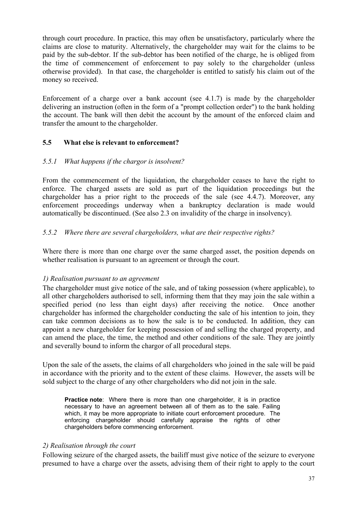<span id="page-37-0"></span>through court procedure. In practice, this may often be unsatisfactory, particularly where the claims are close to maturity. Alternatively, the chargeholder may wait for the claims to be paid by the sub-debtor. If the sub-debtor has been notified of the charge, he is obliged from the time of commencement of enforcement to pay solely to the chargeholder (unless otherwise provided). In that case, the chargeholder is entitled to satisfy his claim out of the money so received.

Enforcement of a charge over a bank account (see 4.1.7) is made by the chargeholder delivering an instruction (often in the form of a "prompt collection order") to the bank holding the account. The bank will then debit the account by the amount of the enforced claim and transfer the amount to the chargeholder.

# **5.5 What else is relevant to enforcement?**

# *5.5.1 What happens if the chargor is insolvent?*

From the commencement of the liquidation, the chargeholder ceases to have the right to enforce. The charged assets are sold as part of the liquidation proceedings but the chargeholder has a prior right to the proceeds of the sale (see 4.4.7). Moreover, any enforcement proceedings underway when a bankruptcy declaration is made would automatically be discontinued. (See also 2.3 on invalidity of the charge in insolvency).

# *5.5.2 Where there are several chargeholders, what are their respective rights?*

Where there is more than one charge over the same charged asset, the position depends on whether realisation is pursuant to an agreement or through the court.

# *1) Realisation pursuant to an agreement*

The chargeholder must give notice of the sale, and of taking possession (where applicable), to all other chargeholders authorised to sell, informing them that they may join the sale within a specified period (no less than eight days) after receiving the notice. Once another chargeholder has informed the chargeholder conducting the sale of his intention to join, they can take common decisions as to how the sale is to be conducted. In addition, they can appoint a new chargeholder for keeping possession of and selling the charged property, and can amend the place, the time, the method and other conditions of the sale. They are jointly and severally bound to inform the chargor of all procedural steps.

Upon the sale of the assets, the claims of all chargeholders who joined in the sale will be paid in accordance with the priority and to the extent of these claims. However, the assets will be sold subject to the charge of any other chargeholders who did not join in the sale.

**Practice note:** Where there is more than one chargeholder, it is in practice necessary to have an agreement between all of them as to the sale. Failing which, it may be more appropriate to initiate court enforcement procedure. The enforcing chargeholder should carefully appraise the rights of other chargeholders before commencing enforcement.

# *2) Realisation through the court*

Following seizure of the charged assets, the bailiff must give notice of the seizure to everyone presumed to have a charge over the assets, advising them of their right to apply to the court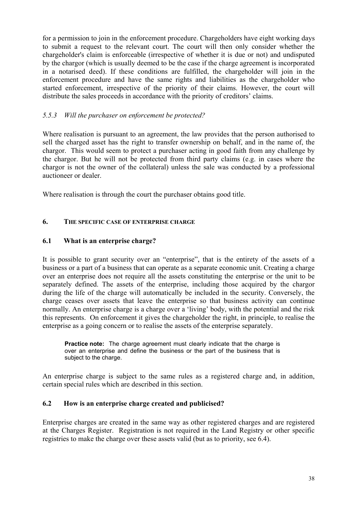<span id="page-38-0"></span>for a permission to join in the enforcement procedure. Chargeholders have eight working days to submit a request to the relevant court. The court will then only consider whether the chargeholder's claim is enforceable (irrespective of whether it is due or not) and undisputed by the chargor (which is usually deemed to be the case if the charge agreement is incorporated in a notarised deed). If these conditions are fulfilled, the chargeholder will join in the enforcement procedure and have the same rights and liabilities as the chargeholder who started enforcement, irrespective of the priority of their claims. However, the court will distribute the sales proceeds in accordance with the priority of creditors' claims.

# *5.5.3 Will the purchaser on enforcement be protected?*

Where realisation is pursuant to an agreement, the law provides that the person authorised to sell the charged asset has the right to transfer ownership on behalf, and in the name of, the chargor. This would seem to protect a purchaser acting in good faith from any challenge by the chargor. But he will not be protected from third party claims (e.g. in cases where the chargor is not the owner of the collateral) unless the sale was conducted by a professional auctioneer or dealer.

Where realisation is through the court the purchaser obtains good title.

# **6. THE SPECIFIC CASE OF ENTERPRISE CHARGE**

# **6.1 What is an enterprise charge?**

It is possible to grant security over an "enterprise", that is the entirety of the assets of a business or a part of a business that can operate as a separate economic unit. Creating a charge over an enterprise does not require all the assets constituting the enterprise or the unit to be separately defined. The assets of the enterprise, including those acquired by the chargor during the life of the charge will automatically be included in the security. Conversely, the charge ceases over assets that leave the enterprise so that business activity can continue normally. An enterprise charge is a charge over a 'living' body, with the potential and the risk this represents. On enforcement it gives the chargeholder the right, in principle, to realise the enterprise as a going concern or to realise the assets of the enterprise separately.

**Practice note:** The charge agreement must clearly indicate that the charge is over an enterprise and define the business or the part of the business that is subject to the charge.

An enterprise charge is subject to the same rules as a registered charge and, in addition, certain special rules which are described in this section.

# **6.2 How is an enterprise charge created and publicised?**

Enterprise charges are created in the same way as other registered charges and are registered at the Charges Register. Registration is not required in the Land Registry or other specific registries to make the charge over these assets valid (but as to priority, see 6.4).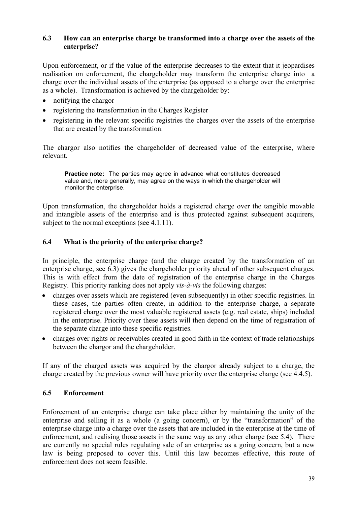# <span id="page-39-0"></span>**6.3 How can an enterprise charge be transformed into a charge over the assets of the enterprise?**

Upon enforcement, or if the value of the enterprise decreases to the extent that it jeopardises realisation on enforcement, the chargeholder may transform the enterprise charge into a charge over the individual assets of the enterprise (as opposed to a charge over the enterprise as a whole). Transformation is achieved by the chargeholder by:

- notifying the chargor
- registering the transformation in the Charges Register
- registering in the relevant specific registries the charges over the assets of the enterprise that are created by the transformation.

The chargor also notifies the chargeholder of decreased value of the enterprise, where relevant.

**Practice note:** The parties may agree in advance what constitutes decreased value and, more generally, may agree on the ways in which the chargeholder will monitor the enterprise.

Upon transformation, the chargeholder holds a registered charge over the tangible movable and intangible assets of the enterprise and is thus protected against subsequent acquirers, subject to the normal exceptions (see 4.1.11).

#### **6.4 What is the priority of the enterprise charge?**

In principle, the enterprise charge (and the charge created by the transformation of an enterprise charge, see 6.3) gives the chargeholder priority ahead of other subsequent charges. This is with effect from the date of registration of the enterprise charge in the Charges Registry. This priority ranking does not apply *vis-à-vis* the following charges:

- charges over assets which are registered (even subsequently) in other specific registries. In these cases, the parties often create, in addition to the enterprise charge, a separate registered charge over the most valuable registered assets (e.g. real estate, ships) included in the enterprise. Priority over these assets will then depend on the time of registration of the separate charge into these specific registries.
- charges over rights or receivables created in good faith in the context of trade relationships between the chargor and the chargeholder.

If any of the charged assets was acquired by the chargor already subject to a charge, the charge created by the previous owner will have priority over the enterprise charge (see 4.4.5).

# **6.5 Enforcement**

Enforcement of an enterprise charge can take place either by maintaining the unity of the enterprise and selling it as a whole (a going concern), or by the "transformation" of the enterprise charge into a charge over the assets that are included in the enterprise at the time of enforcement, and realising those assets in the same way as any other charge (see 5.4). There are currently no special rules regulating sale of an enterprise as a going concern, but a new law is being proposed to cover this. Until this law becomes effective, this route of enforcement does not seem feasible.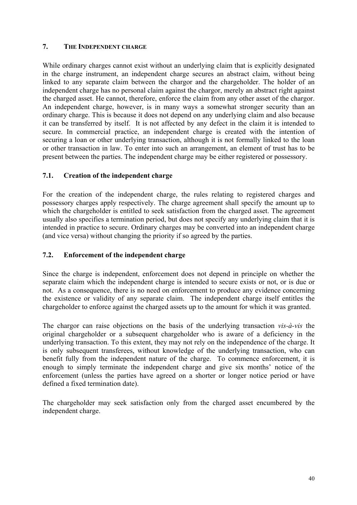# <span id="page-40-0"></span>**7. THE INDEPENDENT CHARGE**

While ordinary charges cannot exist without an underlying claim that is explicitly designated in the charge instrument, an independent charge secures an abstract claim, without being linked to any separate claim between the chargor and the chargeholder. The holder of an independent charge has no personal claim against the chargor, merely an abstract right against the charged asset. He cannot, therefore, enforce the claim from any other asset of the chargor. An independent charge, however, is in many ways a somewhat stronger security than an ordinary charge. This is because it does not depend on any underlying claim and also because it can be transferred by itself. It is not affected by any defect in the claim it is intended to secure. In commercial practice, an independent charge is created with the intention of securing a loan or other underlying transaction, although it is not formally linked to the loan or other transaction in law. To enter into such an arrangement, an element of trust has to be present between the parties. The independent charge may be either registered or possessory.

# **7.1. Creation of the independent charge**

For the creation of the independent charge, the rules relating to registered charges and possessory charges apply respectively. The charge agreement shall specify the amount up to which the chargeholder is entitled to seek satisfaction from the charged asset. The agreement usually also specifies a termination period, but does not specify any underlying claim that it is intended in practice to secure. Ordinary charges may be converted into an independent charge (and vice versa) without changing the priority if so agreed by the parties.

# **7.2. Enforcement of the independent charge**

Since the charge is independent, enforcement does not depend in principle on whether the separate claim which the independent charge is intended to secure exists or not, or is due or not. As a consequence, there is no need on enforcement to produce any evidence concerning the existence or validity of any separate claim. The independent charge itself entitles the chargeholder to enforce against the charged assets up to the amount for which it was granted.

The chargor can raise objections on the basis of the underlying transaction *vis-à-vis* the original chargeholder or a subsequent chargeholder who is aware of a deficiency in the underlying transaction. To this extent, they may not rely on the independence of the charge. It is only subsequent transferees, without knowledge of the underlying transaction, who can benefit fully from the independent nature of the charge. To commence enforcement, it is enough to simply terminate the independent charge and give six months' notice of the enforcement (unless the parties have agreed on a shorter or longer notice period or have defined a fixed termination date).

The chargeholder may seek satisfaction only from the charged asset encumbered by the independent charge.